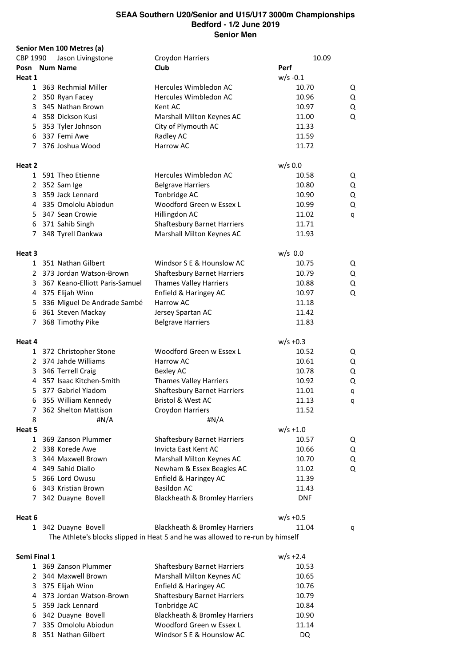|          |              | Senior Men 100 Metres (a)      |                                                                                |             |   |
|----------|--------------|--------------------------------|--------------------------------------------------------------------------------|-------------|---|
| CBP 1990 |              | Jason Livingstone              | Croydon Harriers                                                               | 10.09       |   |
|          |              | Posn Num Name                  | Club                                                                           | Perf        |   |
| Heat 1   |              |                                |                                                                                | $w/s - 0.1$ |   |
|          |              | 1 363 Rechmial Miller          | Hercules Wimbledon AC                                                          | 10.70       | Q |
|          |              | 2 350 Ryan Facey               | Hercules Wimbledon AC                                                          | 10.96       | Q |
|          |              | 3 345 Nathan Brown             | Kent AC                                                                        | 10.97       | Q |
|          |              | 4 358 Dickson Kusi             | Marshall Milton Keynes AC                                                      | 11.00       | Q |
|          |              | 5 353 Tyler Johnson            | City of Plymouth AC                                                            | 11.33       |   |
|          |              | 6 337 Femi Awe                 | Radley AC                                                                      | 11.59       |   |
|          |              | 7 376 Joshua Wood              | Harrow AC                                                                      | 11.72       |   |
| Heat 2   |              |                                |                                                                                | $w/s$ 0.0   |   |
|          |              | 1 591 Theo Etienne             | Hercules Wimbledon AC                                                          | 10.58       | Q |
|          |              | 2 352 Sam Ige                  | <b>Belgrave Harriers</b>                                                       | 10.80       | Q |
|          | 3            | 359 Jack Lennard               | Tonbridge AC                                                                   | 10.90       | Q |
|          |              | 4 335 Omololu Abiodun          | Woodford Green w Essex L                                                       | 10.99       | Q |
|          |              | 5 347 Sean Crowie              | Hillingdon AC                                                                  | 11.02       | q |
|          |              | 6 371 Sahib Singh              | <b>Shaftesbury Barnet Harriers</b>                                             | 11.71       |   |
|          | 7            | 348 Tyrell Dankwa              | Marshall Milton Keynes AC                                                      | 11.93       |   |
| Heat 3   |              |                                |                                                                                | $w/s$ 0.0   |   |
|          |              | 1 351 Nathan Gilbert           | Windsor S E & Hounslow AC                                                      | 10.75       | Q |
|          |              | 2 373 Jordan Watson-Brown      | <b>Shaftesbury Barnet Harriers</b>                                             | 10.79       | Q |
|          | 3            | 367 Keano-Elliott Paris-Samuel | <b>Thames Valley Harriers</b>                                                  | 10.88       | Q |
|          |              | 4 375 Elijah Winn              | Enfield & Haringey AC                                                          | 10.97       | Q |
|          | 5.           | 336 Miguel De Andrade Sambé    | Harrow AC                                                                      | 11.18       |   |
|          | 6            | 361 Steven Mackay              | Jersey Spartan AC                                                              | 11.42       |   |
|          | 7            | 368 Timothy Pike               | <b>Belgrave Harriers</b>                                                       | 11.83       |   |
| Heat 4   |              |                                |                                                                                | $w/s + 0.3$ |   |
|          |              | 1 372 Christopher Stone        | Woodford Green w Essex L                                                       | 10.52       | Q |
|          |              | 2 374 Jahde Williams           | Harrow AC                                                                      | 10.61       | Q |
|          | 3            | 346 Terrell Craig              | <b>Bexley AC</b>                                                               | 10.78       | Q |
|          |              | 4 357 Isaac Kitchen-Smith      | <b>Thames Valley Harriers</b>                                                  | 10.92       | Q |
|          |              | 5 377 Gabriel Yiadom           | <b>Shaftesbury Barnet Harriers</b>                                             | 11.01       |   |
|          |              | 6 355 William Kennedy          | Bristol & West AC                                                              | 11.13       | q |
| 7        |              | 362 Shelton Mattison           | Croydon Harriers                                                               | 11.52       | q |
| 8        |              | #N/A                           | # $N/A$                                                                        |             |   |
| Heat 5   |              |                                |                                                                                | $w/s + 1.0$ |   |
|          | $\mathbf{1}$ | 369 Zanson Plummer             | <b>Shaftesbury Barnet Harriers</b>                                             | 10.57       | Q |
|          | 2            | 338 Korede Awe                 | Invicta East Kent AC                                                           | 10.66       | Q |
|          | 3            | 344 Maxwell Brown              | Marshall Milton Keynes AC                                                      | 10.70       | Q |
|          | 4            | 349 Sahid Diallo               | Newham & Essex Beagles AC                                                      | 11.02       | Q |
|          | 5.           | 366 Lord Owusu                 | Enfield & Haringey AC                                                          | 11.39       |   |
|          | 6            | 343 Kristian Brown             | <b>Basildon AC</b>                                                             | 11.43       |   |
|          | 7            | 342 Duayne Bovell              | Blackheath & Bromley Harriers                                                  | <b>DNF</b>  |   |
|          |              |                                |                                                                                |             |   |
| Heat 6   |              |                                |                                                                                | $w/s + 0.5$ |   |
|          | $\mathbf{1}$ | 342 Duayne Bovell              | Blackheath & Bromley Harriers                                                  | 11.04       | q |
|          |              |                                | The Athlete's blocks slipped in Heat 5 and he was allowed to re-run by himself |             |   |

| Semi Final 1<br>$w/s + 2.4$ |                                    |       |  |  |  |  |  |
|-----------------------------|------------------------------------|-------|--|--|--|--|--|
| 1 369 Zanson Plummer        | <b>Shaftesbury Barnet Harriers</b> | 10.53 |  |  |  |  |  |
| 2 344 Maxwell Brown         | Marshall Milton Keynes AC          | 10.65 |  |  |  |  |  |
| 3 375 Elijah Winn           | Enfield & Haringey AC              | 10.76 |  |  |  |  |  |
| 4 373 Jordan Watson-Brown   | <b>Shaftesbury Barnet Harriers</b> | 10.79 |  |  |  |  |  |
| 5 359 Jack Lennard          | Tonbridge AC                       | 10.84 |  |  |  |  |  |
| 6 342 Duayne Bovell         | Blackheath & Bromley Harriers      | 10.90 |  |  |  |  |  |
| 7 335 Omololu Abiodun       | Woodford Green w Essex L           | 11.14 |  |  |  |  |  |
| 8 351 Nathan Gilbert        | Windsor S E & Hounslow AC          | DQ.   |  |  |  |  |  |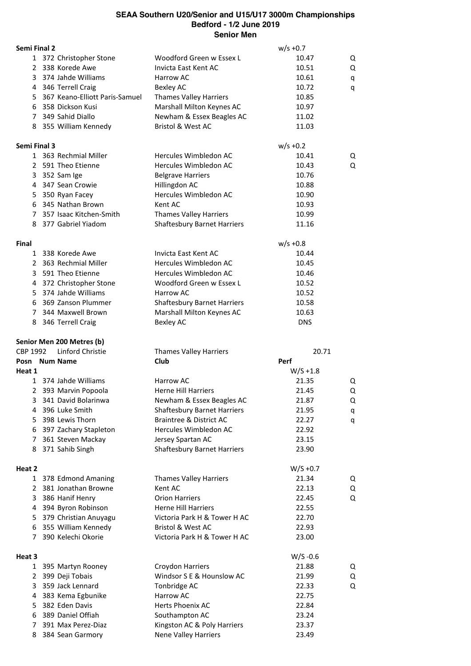| Semi Final 2 |   |                                |                                    | $w/s + 0.7$ |   |
|--------------|---|--------------------------------|------------------------------------|-------------|---|
|              |   | 1 372 Christopher Stone        | Woodford Green w Essex L           | 10.47       | Q |
|              |   | 2 338 Korede Awe               | Invicta East Kent AC               | 10.51       | Q |
| 3            |   | 374 Jahde Williams             | Harrow AC                          | 10.61       | q |
|              |   | 4 346 Terrell Craig            | <b>Bexley AC</b>                   | 10.72       | q |
| 5.           |   | 367 Keano-Elliott Paris-Samuel | <b>Thames Valley Harriers</b>      | 10.85       |   |
|              |   | 6 358 Dickson Kusi             | Marshall Milton Keynes AC          | 10.97       |   |
|              |   | 7 349 Sahid Diallo             | Newham & Essex Beagles AC          | 11.02       |   |
|              |   | 8 355 William Kennedy          | <b>Bristol &amp; West AC</b>       | 11.03       |   |
| Semi Final 3 |   |                                |                                    | $w/s + 0.2$ |   |
|              |   | 1 363 Rechmial Miller          | Hercules Wimbledon AC              | 10.41       | Q |
|              |   | 2 591 Theo Etienne             | Hercules Wimbledon AC              | 10.43       | Q |
|              |   | 3 352 Sam Ige                  | <b>Belgrave Harriers</b>           | 10.76       |   |
|              |   | 4 347 Sean Crowie              | Hillingdon AC                      | 10.88       |   |
|              |   | 5 350 Ryan Facey               | Hercules Wimbledon AC              | 10.90       |   |
|              |   | 6 345 Nathan Brown             | Kent AC                            | 10.93       |   |
|              |   | 7 357 Isaac Kitchen-Smith      | <b>Thames Valley Harriers</b>      | 10.99       |   |
|              |   | 8 377 Gabriel Yiadom           | <b>Shaftesbury Barnet Harriers</b> | 11.16       |   |
| Final        |   |                                |                                    | $w/s + 0.8$ |   |
|              |   | 1 338 Korede Awe               | Invicta East Kent AC               | 10.44       |   |
|              |   | 2 363 Rechmial Miller          | Hercules Wimbledon AC              | 10.45       |   |
|              |   | 3 591 Theo Etienne             | Hercules Wimbledon AC              | 10.46       |   |
|              |   | 4 372 Christopher Stone        | Woodford Green w Essex L           | 10.52       |   |
|              |   | 5 374 Jahde Williams           | Harrow AC                          | 10.52       |   |
|              |   | 6 369 Zanson Plummer           | <b>Shaftesbury Barnet Harriers</b> | 10.58       |   |
|              |   | 7 344 Maxwell Brown            | Marshall Milton Keynes AC          | 10.63       |   |
|              |   | 8 346 Terrell Craig            | <b>Bexley AC</b>                   | <b>DNS</b>  |   |
|              |   | Senior Men 200 Metres (b)      |                                    |             |   |
| CBP 1992     |   | Linford Christie               | <b>Thames Valley Harriers</b>      | 20.71       |   |
|              |   | Posn Num Name                  | Club                               | Perf        |   |
|              |   |                                |                                    |             |   |
| Heat 1       |   |                                |                                    | $W/S + 1.8$ |   |
|              |   | 1 374 Jahde Williams           | Harrow AC                          | 21.35       | Q |
| 2            |   | 393 Marvin Popoola             | <b>Herne Hill Harriers</b>         | 21.45       | Q |
| 3            |   | 341 David Bolarinwa            | Newham & Essex Beagles AC          | 21.87       | Q |
|              |   | 4 396 Luke Smith               | <b>Shaftesbury Barnet Harriers</b> | 21.95       | q |
|              |   | 5 398 Lewis Thorn              | Braintree & District AC            | 22.27       | q |
|              |   | 6 397 Zachary Stapleton        | Hercules Wimbledon AC              | 22.92       |   |
| $7^{\circ}$  |   | 361 Steven Mackay              | Jersey Spartan AC                  | 23.15       |   |
|              |   | 8 371 Sahib Singh              | <b>Shaftesbury Barnet Harriers</b> | 23.90       |   |
|              |   |                                |                                    | $W/S +0.7$  |   |
|              |   | 1 378 Edmond Amaning           | <b>Thames Valley Harriers</b>      | 21.34       | Q |
|              | 2 | 381 Jonathan Browne            | Kent AC                            | 22.13       | Q |
| 3            |   | 386 Hanif Henry                | <b>Orion Harriers</b>              | 22.45       | Q |
| 4            |   | 394 Byron Robinson             | <b>Herne Hill Harriers</b>         | 22.55       |   |
| 5            |   | 379 Christian Anuyagu          | Victoria Park H & Tower H AC       | 22.70       |   |
| 6            |   | 355 William Kennedy            | <b>Bristol &amp; West AC</b>       | 22.93       |   |
| Heat 2<br>7  |   | 390 Kelechi Okorie             | Victoria Park H & Tower H AC       | 23.00       |   |
| Heat 3       |   |                                |                                    | $W/S -0.6$  |   |
|              |   | 1 395 Martyn Rooney            | Croydon Harriers                   | 21.88       | Q |
| $\mathbf{2}$ |   | 399 Deji Tobais                | Windsor S E & Hounslow AC          | 21.99       | Q |
| 3            |   | 359 Jack Lennard               | Tonbridge AC                       | 22.33       | Q |
| 4            |   | 383 Kema Egbunike              | Harrow AC                          | 22.75       |   |
| 5            |   | 382 Eden Davis                 | Herts Phoenix AC                   | 22.84       |   |
| 6            |   | 389 Daniel Offiah              | Southampton AC                     | 23.24       |   |
| 7            |   | 391 Max Perez-Diaz             | Kingston AC & Poly Harriers        | 23.37       |   |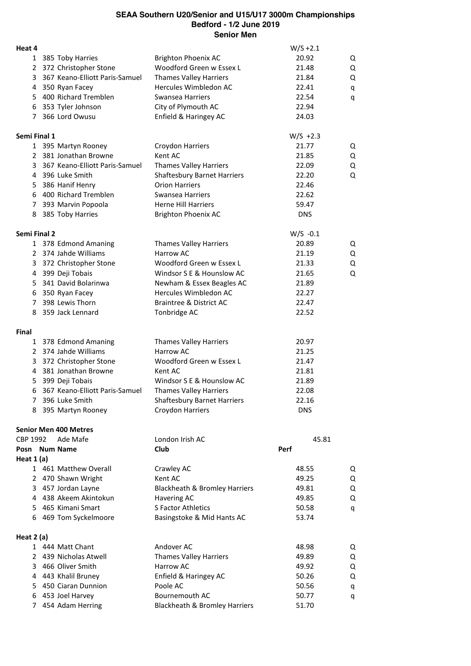| Heat 4              |                                  |                                    | $W/S + 2.1$ |   |
|---------------------|----------------------------------|------------------------------------|-------------|---|
|                     | 1 385 Toby Harries               | <b>Brighton Phoenix AC</b>         | 20.92       | Q |
|                     | 2 372 Christopher Stone          | Woodford Green w Essex L           | 21.48       | Q |
|                     | 3 367 Keano-Elliott Paris-Samuel | <b>Thames Valley Harriers</b>      | 21.84       | Q |
|                     | 4 350 Ryan Facey                 | Hercules Wimbledon AC              | 22.41       | q |
|                     | 5 400 Richard Tremblen           | Swansea Harriers                   | 22.54       | q |
|                     | 6 353 Tyler Johnson              | City of Plymouth AC                | 22.94       |   |
|                     | 7 366 Lord Owusu                 | Enfield & Haringey AC              | 24.03       |   |
|                     |                                  |                                    |             |   |
| Semi Final 1        |                                  |                                    | $W/S +2.3$  |   |
|                     | 1 395 Martyn Rooney              | Croydon Harriers                   | 21.77       | Q |
|                     | 2 381 Jonathan Browne            | Kent AC                            | 21.85       | Q |
|                     | 3 367 Keano-Elliott Paris-Samuel | <b>Thames Valley Harriers</b>      | 22.09       | Q |
|                     | 4 396 Luke Smith                 | <b>Shaftesbury Barnet Harriers</b> | 22.20       | Q |
|                     | 5 386 Hanif Henry                | <b>Orion Harriers</b>              | 22.46       |   |
|                     | 6 400 Richard Tremblen           | <b>Swansea Harriers</b>            | 22.62       |   |
|                     | 7 393 Marvin Popoola             | <b>Herne Hill Harriers</b>         | 59.47       |   |
| 8                   | 385 Toby Harries                 | <b>Brighton Phoenix AC</b>         | <b>DNS</b>  |   |
| <b>Semi Final 2</b> |                                  |                                    | $W/S -0.1$  |   |
|                     | 1 378 Edmond Amaning             | <b>Thames Valley Harriers</b>      | 20.89       | Q |
|                     | 2 374 Jahde Williams             | Harrow AC                          | 21.19       | Q |
|                     | 3 372 Christopher Stone          | Woodford Green w Essex L           | 21.33       | Q |
|                     | 4 399 Deji Tobais                | Windsor S E & Hounslow AC          | 21.65       | Q |
|                     | 5 341 David Bolarinwa            | Newham & Essex Beagles AC          | 21.89       |   |
|                     | 6 350 Ryan Facey                 | Hercules Wimbledon AC              | 22.27       |   |
|                     | 7 398 Lewis Thorn                | Braintree & District AC            | 22.47       |   |
|                     | 8 359 Jack Lennard               | Tonbridge AC                       | 22.52       |   |
| Final               |                                  |                                    |             |   |
|                     | 1 378 Edmond Amaning             | Thames Valley Harriers             | 20.97       |   |
|                     | 2 374 Jahde Williams             | Harrow AC                          | 21.25       |   |
|                     | 3 372 Christopher Stone          | Woodford Green w Essex L           | 21.47       |   |
|                     | 4 381 Jonathan Browne            | Kent AC                            | 21.81       |   |
| 5                   | 399 Deji Tobais                  | Windsor S E & Hounslow AC          | 21.89       |   |
|                     | 6 367 Keano-Elliott Paris-Samuel | <b>Thames Valley Harriers</b>      | 22.08       |   |
| 7                   | 396 Luke Smith                   | <b>Shaftesbury Barnet Harriers</b> | 22.16       |   |
| 8                   | 395 Martyn Rooney                | Croydon Harriers                   | <b>DNS</b>  |   |
|                     |                                  |                                    |             |   |
|                     | <b>Senior Men 400 Metres</b>     |                                    |             |   |
| CBP 1992            | Ade Mafe                         | London Irish AC                    | 45.81       |   |
| Posn Num Name       |                                  | Club                               | Perf        |   |
| Heat $1(a)$         |                                  |                                    |             |   |
|                     | 1 461 Matthew Overall            | Crawley AC                         | 48.55       | Q |
|                     | 2 470 Shawn Wright               | Kent AC                            | 49.25       | Q |
|                     | 3 457 Jordan Layne               | Blackheath & Bromley Harriers      | 49.81       | Q |
|                     | 4 438 Akeem Akintokun            | <b>Havering AC</b>                 | 49.85       | Q |
|                     | 5 465 Kimani Smart               | S Factor Athletics                 | 50.58       | q |
|                     | 6 469 Tom Syckelmoore            | Basingstoke & Mid Hants AC         | 53.74       |   |
| Heat $2(a)$         |                                  |                                    |             |   |
|                     | 1 444 Matt Chant                 | Andover AC                         | 48.98       | Q |
|                     | 2 439 Nicholas Atwell            | <b>Thames Valley Harriers</b>      | 49.89       | Q |
|                     | 3 466 Oliver Smith               | Harrow AC                          | 49.92       | Q |
|                     | 4 443 Khalil Bruney              | Enfield & Haringey AC              | 50.26       | Q |
|                     | 5 450 Ciaran Dunnion             | Poole AC                           | 50.56       | q |
|                     | 6 453 Joel Harvey                | Bournemouth AC                     | 50.77       | q |
|                     | 7 454 Adam Herring               | Blackheath & Bromley Harriers      | 51.70       |   |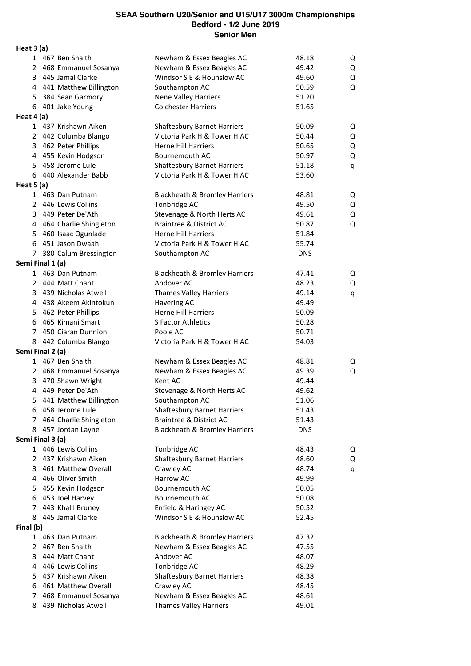**Heat 3 (a)** 1 467 Ben Snaith Newham & Essex Beagles AC 48.18 Q 2 468 Emmanuel Sosanya Newham & Essex Beagles AC 49.42 Q 3 445 Jamal Clarke Windsor S E & Hounslow AC 49.60 Q 4 441 Matthew Billington Southampton AC 50.59 Q 5 384 Sean Garmory Nene Valley Harriers 51.20 6 401 Jake Young Colchester Harriers 51.65 **Heat 4 (a)** 1 437 Krishawn Aiken Shaftesbury Barnet Harriers 50.09 Q 2 442 Columba Blango Victoria Park H & Tower H AC 50.44 Q 3 462 Peter Phillips **Herne Hill Harriers** 50.65 Q 4 455 Kevin Hodgson Bournemouth AC 50.97 Q 5 458 Jerome Lule Shaftesbury Barnet Harriers 51.18 q 6 440 Alexander Babb Victoria Park H & Tower H AC 53.60 **Heat 5 (a)** 1 463 Dan Putnam Blackheath & Bromley Harriers 48.81 Q 2 446 Lewis Collins **Tonbridge AC** 49.50 Q 3 449 Peter De'Ath Stevenage & North Herts AC 49.61 Q 4 464 Charlie Shingleton Braintree & District AC 50.87 Q 5 460 Isaac Ogunlade Herne Hill Harriers 51.84 6 451 Jason Dwaah Victoria Park H & Tower H AC 55.74 7 380 Calum Bressington Southampton AC DNS **Semi Final 1 (a)** 1 463 Dan Putnam Blackheath & Bromley Harriers 47.41 Q 2 444 Matt Chant **Andover AC** 48.23 Q 3 439 Nicholas Atwell **Thames Valley Harriers** 49.14 q 4 438 Akeem Akintokun Havering AC 49.49 5 462 Peter Phillips **Herne Hill Harriers** 50.09 6 465 Kimani Smart S Factor Athletics 50.28 7 450 Ciaran Dunnion Poole AC 50.71 8 442 Columba Blango Victoria Park H & Tower H AC 54.03 **Semi Final 2 (a)** 1 467 Ben Snaith Newham & Essex Beagles AC 48.81 Q 2 468 Emmanuel Sosanya Newham & Essex Beagles AC 49.39 Q 3 470 Shawn Wright Kent AC 49.44 4 449 Peter De'Ath Stevenage & North Herts AC 49.62 5 441 Matthew Billington Southampton AC 51.06 6 458 Jerome Lule Shaftesbury Barnet Harriers 51.43 7 464 Charlie Shingleton Braintree & District AC 51.43 8 457 Jordan Layne Blackheath & Bromley Harriers DNS **Semi Final 3 (a)** 1 446 Lewis Collins **Tonbridge AC** 48.43 Q 2 437 Krishawn Aiken Shaftesbury Barnet Harriers 48.60 Q 3 461 Matthew Overall Crawley AC 6 and 48.74 q 4 466 Oliver Smith **Harrow AC** 49.99 5 455 Kevin Hodgson Bournemouth AC 50.05 6 453 Joel Harvey Bournemouth AC 50.08 7 443 Khalil Bruney Enfield & Haringey AC 50.52 8 445 Jamal Clarke **Windsor S E & Hounslow AC** 52.45 **Final (b)** 1 463 Dan Putnam Blackheath & Bromley Harriers 47.32 2 467 Ben Snaith Newham & Essex Beagles AC 47.55 3 444 Matt Chant **Andover AC** 48.07 4 446 Lewis Collins **Tonbridge AC** 48.29 5 437 Krishawn Aiken Shaftesbury Barnet Harriers 48.38 6 461 Matthew Overall Crawley AC 48.45

7 468 Emmanuel Sosanya Newham & Essex Beagles AC 48.61 8 439 Nicholas Atwell Thames Valley Harriers 49.01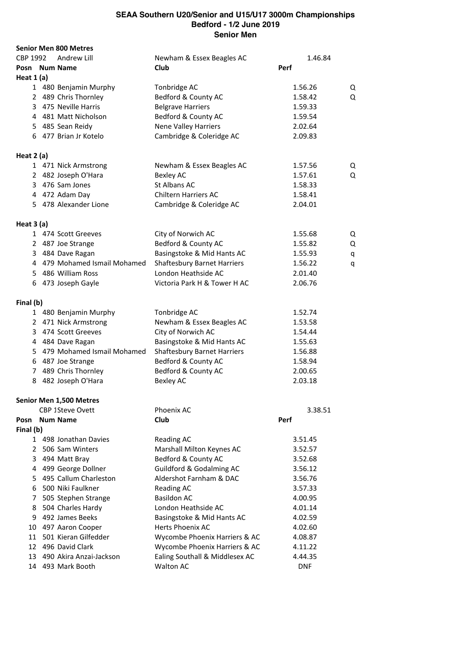|            |    | <b>Senior Men 800 Metres</b> |                                     |                    |   |
|------------|----|------------------------------|-------------------------------------|--------------------|---|
| CBP 1992   |    | Andrew Lill                  | Newham & Essex Beagles AC           | 1.46.84            |   |
|            |    | Posn Num Name                | Club                                | Perf               |   |
| Heat 1 (a) |    |                              |                                     |                    |   |
|            |    | 1 480 Benjamin Murphy        | Tonbridge AC                        | 1.56.26            | Q |
|            |    | 2 489 Chris Thornley         | Bedford & County AC                 | 1.58.42            | Q |
|            |    | 3 475 Neville Harris         | <b>Belgrave Harriers</b>            | 1.59.33            |   |
|            |    | 4 481 Matt Nicholson         | Bedford & County AC                 | 1.59.54            |   |
|            |    | 5 485 Sean Reidy             | <b>Nene Valley Harriers</b>         | 2.02.64            |   |
|            |    | 6 477 Brian Jr Kotelo        | Cambridge & Coleridge AC            | 2.09.83            |   |
| Heat 2 (a) |    |                              |                                     |                    |   |
|            |    | 1 471 Nick Armstrong         | Newham & Essex Beagles AC           | 1.57.56            | Q |
|            |    | 2 482 Joseph O'Hara          | <b>Bexley AC</b>                    | 1.57.61            | Q |
|            |    | 3 476 Sam Jones              | St Albans AC                        | 1.58.33            |   |
|            |    | 4 472 Adam Day               | <b>Chiltern Harriers AC</b>         | 1.58.41            |   |
|            |    | 5 478 Alexander Lione        | Cambridge & Coleridge AC            | 2.04.01            |   |
|            |    |                              |                                     |                    |   |
| Heat 3 (a) |    |                              |                                     |                    |   |
|            |    | 1 474 Scott Greeves          | City of Norwich AC                  | 1.55.68            | Q |
|            |    | 2 487 Joe Strange            | Bedford & County AC                 | 1.55.82            | Q |
|            |    | 3 484 Dave Ragan             | Basingstoke & Mid Hants AC          | 1.55.93            | q |
|            |    | 4 479 Mohamed Ismail Mohamed | <b>Shaftesbury Barnet Harriers</b>  | 1.56.22            | q |
|            |    | 5 486 William Ross           | London Heathside AC                 | 2.01.40            |   |
|            |    | 6 473 Joseph Gayle           | Victoria Park H & Tower H AC        | 2.06.76            |   |
| Final (b)  |    |                              |                                     |                    |   |
|            |    | 1 480 Benjamin Murphy        | Tonbridge AC                        | 1.52.74            |   |
|            |    | 2 471 Nick Armstrong         | Newham & Essex Beagles AC           | 1.53.58            |   |
|            |    | 3 474 Scott Greeves          | City of Norwich AC                  | 1.54.44            |   |
|            |    | 4 484 Dave Ragan             | Basingstoke & Mid Hants AC          | 1.55.63            |   |
|            |    | 5 479 Mohamed Ismail Mohamed | <b>Shaftesbury Barnet Harriers</b>  | 1.56.88            |   |
|            |    | 6 487 Joe Strange            | Bedford & County AC                 | 1.58.94            |   |
|            |    | 7 489 Chris Thornley         | Bedford & County AC                 | 2.00.65            |   |
|            |    | 8 482 Joseph O'Hara          | <b>Bexley AC</b>                    | 2.03.18            |   |
|            |    | Senior Men 1,500 Metres      |                                     |                    |   |
|            |    | CBP 1Steve Ovett             | Phoenix AC                          | 3.38.51            |   |
|            |    | Posn Num Name                | Club                                | Perf               |   |
| Final (b)  |    |                              |                                     |                    |   |
|            |    | 1 498 Jonathan Davies        | <b>Reading AC</b>                   | 3.51.45            |   |
|            |    | 2 506 Sam Winters            | Marshall Milton Keynes AC           | 3.52.57            |   |
|            | 3  | 494 Matt Bray                | Bedford & County AC                 | 3.52.68            |   |
|            | 4  | 499 George Dollner           | <b>Guildford &amp; Godalming AC</b> | 3.56.12            |   |
|            | 5. | 495 Callum Charleston        | Aldershot Farnham & DAC             | 3.56.76            |   |
|            | 6  | 500 Niki Faulkner            | <b>Reading AC</b>                   | 3.57.33            |   |
| 7          |    | 505 Stephen Strange          | <b>Basildon AC</b>                  | 4.00.95            |   |
|            | 8  | 504 Charles Hardy            | London Heathside AC                 | 4.01.14            |   |
| 9          |    | 492 James Beeks              | Basingstoke & Mid Hants AC          | 4.02.59            |   |
| 10         |    | 497 Aaron Cooper             | <b>Herts Phoenix AC</b>             | 4.02.60            |   |
|            | 11 | 501 Kieran Gilfedder         | Wycombe Phoenix Harriers & AC       |                    |   |
|            |    | 12 496 David Clark           |                                     | 4.08.87<br>4.11.22 |   |
|            |    |                              | Wycombe Phoenix Harriers & AC       |                    |   |
|            |    | 13 490 Akira Anzai-Jackson   | Ealing Southall & Middlesex AC      | 4.44.35            |   |
|            |    | 14 493 Mark Booth            | <b>Walton AC</b>                    | <b>DNF</b>         |   |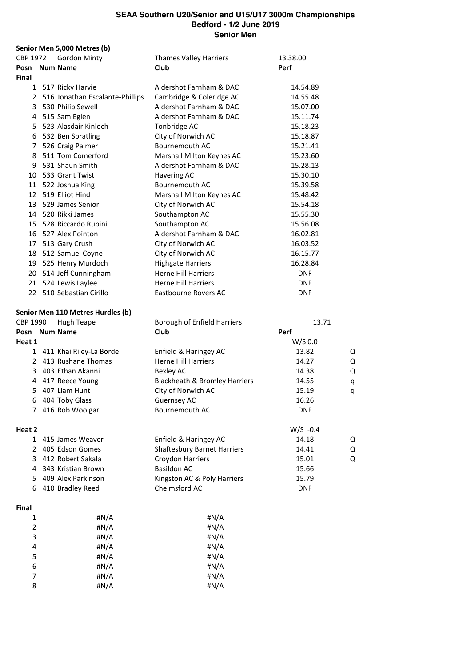|                |              | Senior Men 5,000 Metres (b)       |                                    |            |   |
|----------------|--------------|-----------------------------------|------------------------------------|------------|---|
| CBP 1972       |              | <b>Gordon Minty</b>               | <b>Thames Valley Harriers</b>      | 13.38.00   |   |
|                |              | Posn Num Name                     | Club                               | Perf       |   |
| Final          |              |                                   |                                    |            |   |
|                |              | 1 517 Ricky Harvie                | Aldershot Farnham & DAC            | 14.54.89   |   |
|                |              | 2 516 Jonathan Escalante-Phillips | Cambridge & Coleridge AC           | 14.55.48   |   |
|                |              | 3 530 Philip Sewell               | Aldershot Farnham & DAC            | 15.07.00   |   |
|                |              | 4 515 Sam Eglen                   | Aldershot Farnham & DAC            | 15.11.74   |   |
|                |              | 5 523 Alasdair Kinloch            | Tonbridge AC                       | 15.18.23   |   |
|                |              | 6 532 Ben Spratling               | City of Norwich AC                 | 15.18.87   |   |
|                |              | 7 526 Craig Palmer                | Bournemouth AC                     | 15.21.41   |   |
|                |              | 8 511 Tom Comerford               | Marshall Milton Keynes AC          | 15.23.60   |   |
| 9              |              | 531 Shaun Smith                   | Aldershot Farnham & DAC            | 15.28.13   |   |
|                |              | 10 533 Grant Twist                | Havering AC                        | 15.30.10   |   |
|                |              | 11 522 Joshua King                | Bournemouth AC                     | 15.39.58   |   |
|                |              | 12 519 Elliot Hind                | Marshall Milton Keynes AC          | 15.48.42   |   |
|                |              | 13 529 James Senior               | City of Norwich AC                 | 15.54.18   |   |
|                |              | 14 520 Rikki James                | Southampton AC                     | 15.55.30   |   |
|                |              | 15 528 Riccardo Rubini            | Southampton AC                     | 15.56.08   |   |
|                |              | 16 527 Alex Pointon               | Aldershot Farnham & DAC            | 16.02.81   |   |
|                |              | 17 513 Gary Crush                 | City of Norwich AC                 | 16.03.52   |   |
|                |              | 18 512 Samuel Coyne               | City of Norwich AC                 | 16.15.77   |   |
|                |              | 19 525 Henry Murdoch              | <b>Highgate Harriers</b>           | 16.28.84   |   |
|                |              | 20 514 Jeff Cunningham            | <b>Herne Hill Harriers</b>         | <b>DNF</b> |   |
|                |              | 21 524 Lewis Laylee               | <b>Herne Hill Harriers</b>         | <b>DNF</b> |   |
|                |              | 22 510 Sebastian Cirillo          | Eastbourne Rovers AC               | <b>DNF</b> |   |
|                |              | Senior Men 110 Metres Hurdles (b) |                                    |            |   |
| CBP 1990       |              | <b>Hugh Teape</b>                 | Borough of Enfield Harriers        | 13.71      |   |
|                |              | Posn Num Name                     | Club                               | Perf       |   |
| Heat 1         |              |                                   |                                    | W/S 0.0    |   |
|                |              | 1 411 Khai Riley-La Borde         | Enfield & Haringey AC              | 13.82      | Q |
|                |              | 2 413 Rushane Thomas              | <b>Herne Hill Harriers</b>         | 14.27      | Q |
|                |              | 3 403 Ethan Akanni                | <b>Bexley AC</b>                   | 14.38      | Q |
|                |              | 4 417 Reece Young                 | Blackheath & Bromley Harriers      | 14.55      | q |
| 5.             |              | 407 Liam Hunt                     | City of Norwich AC                 | 15.19      | q |
| 6              |              | 404 Toby Glass                    | <b>Guernsey AC</b>                 | 16.26      |   |
| 7              |              | 416 Rob Woolgar                   | Bournemouth AC                     | <b>DNF</b> |   |
| Heat 2         |              |                                   |                                    | $W/S -0.4$ |   |
|                |              | 1 415 James Weaver                | Enfield & Haringey AC              | 14.18      | Q |
|                | $\mathbf{2}$ | 405 Edson Gomes                   | <b>Shaftesbury Barnet Harriers</b> | 14.41      | Q |
| 3              |              | 412 Robert Sakala                 | Croydon Harriers                   | 15.01      | Q |
| 4              |              | 343 Kristian Brown                | <b>Basildon AC</b>                 | 15.66      |   |
| 5.             |              | 409 Alex Parkinson                | Kingston AC & Poly Harriers        | 15.79      |   |
| 6              |              | 410 Bradley Reed                  | Chelmsford AC                      | <b>DNF</b> |   |
| Final          |              |                                   |                                    |            |   |
| 1              |              | #N/A                              | #N/A                               |            |   |
| $\overline{2}$ |              | #N/A                              | #N/A                               |            |   |
| 3              |              | #N/A                              | # $N/A$                            |            |   |
| 4              |              | #N/A                              | #N/A                               |            |   |
| 5              |              | #N/A                              | # $N/A$                            |            |   |
| 6              |              | #N/A                              | #N/A                               |            |   |

 #N/A #N/A #N/A #N/A #N/A #N/A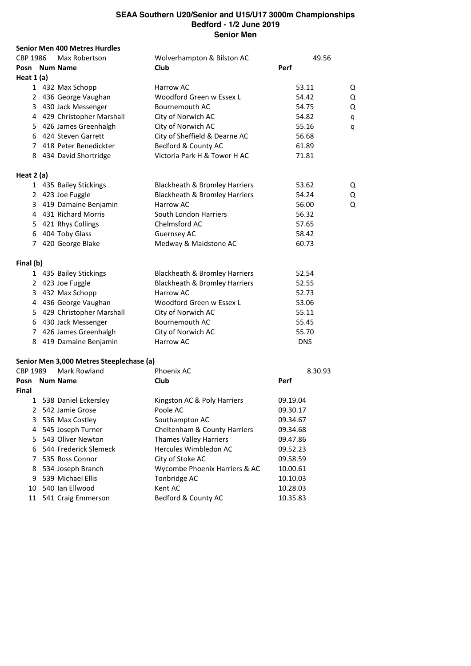| CBP 1986<br>Wolverhampton & Bilston AC<br>Max Robertson<br>49.56<br>Club<br>Perf<br>Posn Num Name<br>Heat $1(a)$<br>1 432 Max Schopp<br>Harrow AC<br>53.11<br>2 436 George Vaughan<br>Woodford Green w Essex L<br>54.42<br>Bournemouth AC<br>3 430 Jack Messenger<br>54.75<br>4 429 Christopher Marshall<br>City of Norwich AC<br>54.82<br>5 426 James Greenhalgh<br>City of Norwich AC<br>55.16<br>6 424 Steven Garrett<br>City of Sheffield & Dearne AC<br>56.68<br>7 418 Peter Benedickter<br>Bedford & County AC<br>61.89<br>Victoria Park H & Tower H AC<br>8 434 David Shortridge<br>71.81<br>Heat 2 (a)<br>1 435 Bailey Stickings<br>Blackheath & Bromley Harriers<br>53.62<br>2 423 Joe Fuggle<br>Blackheath & Bromley Harriers<br>54.24<br>3 419 Damaine Benjamin<br>Harrow AC<br>56.00<br>4 431 Richard Morris<br>South London Harriers<br>56.32<br>5 421 Rhys Collings<br>Chelmsford AC<br>57.65<br>6 404 Toby Glass<br>Guernsey AC<br>58.42<br>7 420 George Blake<br>Medway & Maidstone AC<br>60.73<br>Final (b)<br>1 435 Bailey Stickings<br>Blackheath & Bromley Harriers<br>52.54<br>2 423 Joe Fuggle<br>Blackheath & Bromley Harriers<br>52.55<br>3 432 Max Schopp<br>Harrow AC<br>52.73<br>4 436 George Vaughan<br>Woodford Green w Essex L<br>53.06 | Q<br>Q<br>Q<br>q<br>q |
|-----------------------------------------------------------------------------------------------------------------------------------------------------------------------------------------------------------------------------------------------------------------------------------------------------------------------------------------------------------------------------------------------------------------------------------------------------------------------------------------------------------------------------------------------------------------------------------------------------------------------------------------------------------------------------------------------------------------------------------------------------------------------------------------------------------------------------------------------------------------------------------------------------------------------------------------------------------------------------------------------------------------------------------------------------------------------------------------------------------------------------------------------------------------------------------------------------------------------------------------------------------------------|-----------------------|
|                                                                                                                                                                                                                                                                                                                                                                                                                                                                                                                                                                                                                                                                                                                                                                                                                                                                                                                                                                                                                                                                                                                                                                                                                                                                       |                       |
|                                                                                                                                                                                                                                                                                                                                                                                                                                                                                                                                                                                                                                                                                                                                                                                                                                                                                                                                                                                                                                                                                                                                                                                                                                                                       |                       |
|                                                                                                                                                                                                                                                                                                                                                                                                                                                                                                                                                                                                                                                                                                                                                                                                                                                                                                                                                                                                                                                                                                                                                                                                                                                                       |                       |
|                                                                                                                                                                                                                                                                                                                                                                                                                                                                                                                                                                                                                                                                                                                                                                                                                                                                                                                                                                                                                                                                                                                                                                                                                                                                       |                       |
|                                                                                                                                                                                                                                                                                                                                                                                                                                                                                                                                                                                                                                                                                                                                                                                                                                                                                                                                                                                                                                                                                                                                                                                                                                                                       |                       |
|                                                                                                                                                                                                                                                                                                                                                                                                                                                                                                                                                                                                                                                                                                                                                                                                                                                                                                                                                                                                                                                                                                                                                                                                                                                                       |                       |
|                                                                                                                                                                                                                                                                                                                                                                                                                                                                                                                                                                                                                                                                                                                                                                                                                                                                                                                                                                                                                                                                                                                                                                                                                                                                       |                       |
|                                                                                                                                                                                                                                                                                                                                                                                                                                                                                                                                                                                                                                                                                                                                                                                                                                                                                                                                                                                                                                                                                                                                                                                                                                                                       |                       |
|                                                                                                                                                                                                                                                                                                                                                                                                                                                                                                                                                                                                                                                                                                                                                                                                                                                                                                                                                                                                                                                                                                                                                                                                                                                                       |                       |
|                                                                                                                                                                                                                                                                                                                                                                                                                                                                                                                                                                                                                                                                                                                                                                                                                                                                                                                                                                                                                                                                                                                                                                                                                                                                       |                       |
|                                                                                                                                                                                                                                                                                                                                                                                                                                                                                                                                                                                                                                                                                                                                                                                                                                                                                                                                                                                                                                                                                                                                                                                                                                                                       |                       |
|                                                                                                                                                                                                                                                                                                                                                                                                                                                                                                                                                                                                                                                                                                                                                                                                                                                                                                                                                                                                                                                                                                                                                                                                                                                                       |                       |
|                                                                                                                                                                                                                                                                                                                                                                                                                                                                                                                                                                                                                                                                                                                                                                                                                                                                                                                                                                                                                                                                                                                                                                                                                                                                       | Q                     |
|                                                                                                                                                                                                                                                                                                                                                                                                                                                                                                                                                                                                                                                                                                                                                                                                                                                                                                                                                                                                                                                                                                                                                                                                                                                                       | Q                     |
|                                                                                                                                                                                                                                                                                                                                                                                                                                                                                                                                                                                                                                                                                                                                                                                                                                                                                                                                                                                                                                                                                                                                                                                                                                                                       | Q                     |
|                                                                                                                                                                                                                                                                                                                                                                                                                                                                                                                                                                                                                                                                                                                                                                                                                                                                                                                                                                                                                                                                                                                                                                                                                                                                       |                       |
|                                                                                                                                                                                                                                                                                                                                                                                                                                                                                                                                                                                                                                                                                                                                                                                                                                                                                                                                                                                                                                                                                                                                                                                                                                                                       |                       |
|                                                                                                                                                                                                                                                                                                                                                                                                                                                                                                                                                                                                                                                                                                                                                                                                                                                                                                                                                                                                                                                                                                                                                                                                                                                                       |                       |
|                                                                                                                                                                                                                                                                                                                                                                                                                                                                                                                                                                                                                                                                                                                                                                                                                                                                                                                                                                                                                                                                                                                                                                                                                                                                       |                       |
|                                                                                                                                                                                                                                                                                                                                                                                                                                                                                                                                                                                                                                                                                                                                                                                                                                                                                                                                                                                                                                                                                                                                                                                                                                                                       |                       |
|                                                                                                                                                                                                                                                                                                                                                                                                                                                                                                                                                                                                                                                                                                                                                                                                                                                                                                                                                                                                                                                                                                                                                                                                                                                                       |                       |
|                                                                                                                                                                                                                                                                                                                                                                                                                                                                                                                                                                                                                                                                                                                                                                                                                                                                                                                                                                                                                                                                                                                                                                                                                                                                       |                       |
|                                                                                                                                                                                                                                                                                                                                                                                                                                                                                                                                                                                                                                                                                                                                                                                                                                                                                                                                                                                                                                                                                                                                                                                                                                                                       |                       |
|                                                                                                                                                                                                                                                                                                                                                                                                                                                                                                                                                                                                                                                                                                                                                                                                                                                                                                                                                                                                                                                                                                                                                                                                                                                                       |                       |
| 5 429 Christopher Marshall<br>City of Norwich AC<br>55.11                                                                                                                                                                                                                                                                                                                                                                                                                                                                                                                                                                                                                                                                                                                                                                                                                                                                                                                                                                                                                                                                                                                                                                                                             |                       |
| 6 430 Jack Messenger<br>Bournemouth AC<br>55.45                                                                                                                                                                                                                                                                                                                                                                                                                                                                                                                                                                                                                                                                                                                                                                                                                                                                                                                                                                                                                                                                                                                                                                                                                       |                       |
| 7 426 James Greenhalgh<br>City of Norwich AC<br>55.70                                                                                                                                                                                                                                                                                                                                                                                                                                                                                                                                                                                                                                                                                                                                                                                                                                                                                                                                                                                                                                                                                                                                                                                                                 |                       |
| Harrow AC<br>8 419 Damaine Benjamin<br><b>DNS</b>                                                                                                                                                                                                                                                                                                                                                                                                                                                                                                                                                                                                                                                                                                                                                                                                                                                                                                                                                                                                                                                                                                                                                                                                                     |                       |
| Senior Men 3,000 Metres Steeplechase (a)                                                                                                                                                                                                                                                                                                                                                                                                                                                                                                                                                                                                                                                                                                                                                                                                                                                                                                                                                                                                                                                                                                                                                                                                                              |                       |
| Mark Rowland<br>CBP 1989<br>Phoenix AC<br>8.30.93                                                                                                                                                                                                                                                                                                                                                                                                                                                                                                                                                                                                                                                                                                                                                                                                                                                                                                                                                                                                                                                                                                                                                                                                                     |                       |
| Posn Num Name<br>Club<br>Perf                                                                                                                                                                                                                                                                                                                                                                                                                                                                                                                                                                                                                                                                                                                                                                                                                                                                                                                                                                                                                                                                                                                                                                                                                                         |                       |
| Final                                                                                                                                                                                                                                                                                                                                                                                                                                                                                                                                                                                                                                                                                                                                                                                                                                                                                                                                                                                                                                                                                                                                                                                                                                                                 |                       |
| Kingston AC & Poly Harriers<br>538 Daniel Eckersley<br>09.19.04<br>$\mathbf{1}$                                                                                                                                                                                                                                                                                                                                                                                                                                                                                                                                                                                                                                                                                                                                                                                                                                                                                                                                                                                                                                                                                                                                                                                       |                       |
| 2 542 Jamie Grose<br>Poole AC<br>09.30.17                                                                                                                                                                                                                                                                                                                                                                                                                                                                                                                                                                                                                                                                                                                                                                                                                                                                                                                                                                                                                                                                                                                                                                                                                             |                       |
| 536 Max Costley<br>3<br>Southampton AC<br>09.34.67                                                                                                                                                                                                                                                                                                                                                                                                                                                                                                                                                                                                                                                                                                                                                                                                                                                                                                                                                                                                                                                                                                                                                                                                                    |                       |
| 545 Joseph Turner<br>Cheltenham & County Harriers<br>4<br>09.34.68                                                                                                                                                                                                                                                                                                                                                                                                                                                                                                                                                                                                                                                                                                                                                                                                                                                                                                                                                                                                                                                                                                                                                                                                    |                       |
| 543 Oliver Newton<br><b>Thames Valley Harriers</b><br>5<br>09.47.86                                                                                                                                                                                                                                                                                                                                                                                                                                                                                                                                                                                                                                                                                                                                                                                                                                                                                                                                                                                                                                                                                                                                                                                                   |                       |
| Hercules Wimbledon AC<br>544 Frederick Slemeck<br>6<br>09.52.23                                                                                                                                                                                                                                                                                                                                                                                                                                                                                                                                                                                                                                                                                                                                                                                                                                                                                                                                                                                                                                                                                                                                                                                                       |                       |
| 535 Ross Connor<br>City of Stoke AC<br>7<br>09.58.59                                                                                                                                                                                                                                                                                                                                                                                                                                                                                                                                                                                                                                                                                                                                                                                                                                                                                                                                                                                                                                                                                                                                                                                                                  |                       |
| 534 Joseph Branch<br>Wycombe Phoenix Harriers & AC<br>8<br>10.00.61                                                                                                                                                                                                                                                                                                                                                                                                                                                                                                                                                                                                                                                                                                                                                                                                                                                                                                                                                                                                                                                                                                                                                                                                   |                       |
| 539 Michael Ellis<br>Tonbridge AC<br>9<br>10.10.03                                                                                                                                                                                                                                                                                                                                                                                                                                                                                                                                                                                                                                                                                                                                                                                                                                                                                                                                                                                                                                                                                                                                                                                                                    |                       |
| 540 Ian Ellwood<br>Kent AC<br>10<br>10.28.03                                                                                                                                                                                                                                                                                                                                                                                                                                                                                                                                                                                                                                                                                                                                                                                                                                                                                                                                                                                                                                                                                                                                                                                                                          |                       |

541 Craig Emmerson Bedford & County AC 10.35.83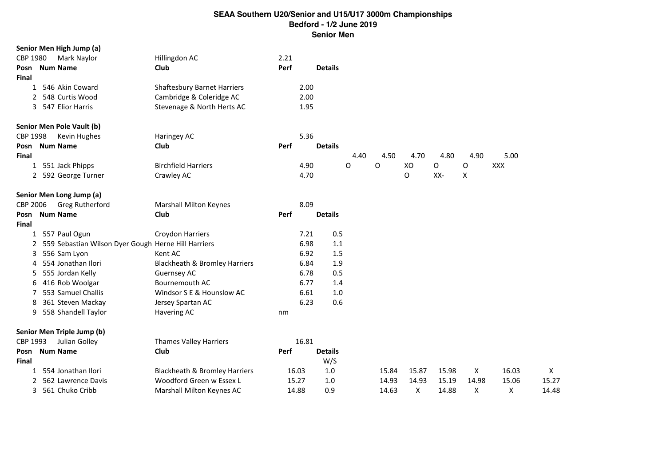|          | Senior Men High Jump (a)                            |                                          |      |       |                |      |       |       |       |       |            |       |
|----------|-----------------------------------------------------|------------------------------------------|------|-------|----------------|------|-------|-------|-------|-------|------------|-------|
| CBP 1980 | Mark Naylor                                         | Hillingdon AC                            | 2.21 |       |                |      |       |       |       |       |            |       |
| Posn     | <b>Num Name</b>                                     | Club                                     | Perf |       | <b>Details</b> |      |       |       |       |       |            |       |
| Final    |                                                     |                                          |      |       |                |      |       |       |       |       |            |       |
| 1        | 546 Akin Coward                                     | <b>Shaftesbury Barnet Harriers</b>       |      | 2.00  |                |      |       |       |       |       |            |       |
|          | 548 Curtis Wood                                     | Cambridge & Coleridge AC                 |      | 2.00  |                |      |       |       |       |       |            |       |
|          | 3 547 Elior Harris                                  | Stevenage & North Herts AC               |      | 1.95  |                |      |       |       |       |       |            |       |
|          | Senior Men Pole Vault (b)                           |                                          |      |       |                |      |       |       |       |       |            |       |
| CBP 1998 | Kevin Hughes                                        | Haringey AC                              |      | 5.36  |                |      |       |       |       |       |            |       |
| Posn     | <b>Num Name</b>                                     | Club                                     | Perf |       | <b>Details</b> |      |       |       |       |       |            |       |
| Final    |                                                     |                                          |      |       |                | 4.40 | 4.50  | 4.70  | 4.80  | 4.90  | 5.00       |       |
|          | 1 551 Jack Phipps                                   | <b>Birchfield Harriers</b>               |      | 4.90  |                | O    | O     | XO    | O     | O     | <b>XXX</b> |       |
|          | 2 592 George Turner                                 | Crawley AC                               |      | 4.70  |                |      |       | O     | XX-   | X     |            |       |
|          | Senior Men Long Jump (a)                            |                                          |      |       |                |      |       |       |       |       |            |       |
| CBP 2006 | Greg Rutherford                                     | <b>Marshall Milton Keynes</b>            |      | 8.09  |                |      |       |       |       |       |            |       |
| Posn     | <b>Num Name</b>                                     | Club                                     | Perf |       | <b>Details</b> |      |       |       |       |       |            |       |
| Final    |                                                     |                                          |      |       |                |      |       |       |       |       |            |       |
| 1        | 557 Paul Ogun                                       | Croydon Harriers                         |      | 7.21  | 0.5            |      |       |       |       |       |            |       |
|          | 559 Sebastian Wilson Dyer Gough Herne Hill Harriers |                                          |      | 6.98  | 1.1            |      |       |       |       |       |            |       |
| 3        | 556 Sam Lyon                                        | Kent AC                                  |      | 6.92  | 1.5            |      |       |       |       |       |            |       |
| 4        | 554 Jonathan Ilori                                  | <b>Blackheath &amp; Bromley Harriers</b> |      | 6.84  | 1.9            |      |       |       |       |       |            |       |
| 5        | 555 Jordan Kelly                                    | <b>Guernsey AC</b>                       |      | 6.78  | 0.5            |      |       |       |       |       |            |       |
| 6        | 416 Rob Woolgar                                     | Bournemouth AC                           |      | 6.77  | 1.4            |      |       |       |       |       |            |       |
| 7        | 553 Samuel Challis                                  | Windsor S E & Hounslow AC                |      | 6.61  | 1.0            |      |       |       |       |       |            |       |
| 8        | 361 Steven Mackay                                   | Jersey Spartan AC                        |      | 6.23  | 0.6            |      |       |       |       |       |            |       |
| 9        | 558 Shandell Taylor                                 | Havering AC                              | nm   |       |                |      |       |       |       |       |            |       |
|          | Senior Men Triple Jump (b)                          |                                          |      |       |                |      |       |       |       |       |            |       |
| CBP 1993 | Julian Golley                                       | Thames Valley Harriers                   |      | 16.81 |                |      |       |       |       |       |            |       |
| Posn     | <b>Num Name</b>                                     | Club                                     | Perf |       | <b>Details</b> |      |       |       |       |       |            |       |
| Final    |                                                     |                                          |      |       | W/S            |      |       |       |       |       |            |       |
| 1        | 554 Jonathan Ilori                                  | Blackheath & Bromley Harriers            |      | 16.03 | 1.0            |      | 15.84 | 15.87 | 15.98 | X     | 16.03      | X     |
|          | 562 Lawrence Davis                                  | Woodford Green w Essex L                 |      | 15.27 | 1.0            |      | 14.93 | 14.93 | 15.19 | 14.98 | 15.06      | 15.27 |
|          | 3 561 Chuko Cribb                                   | Marshall Milton Keynes AC                |      | 14.88 | 0.9            |      | 14.63 | x     | 14.88 | Χ     | Х          | 14.48 |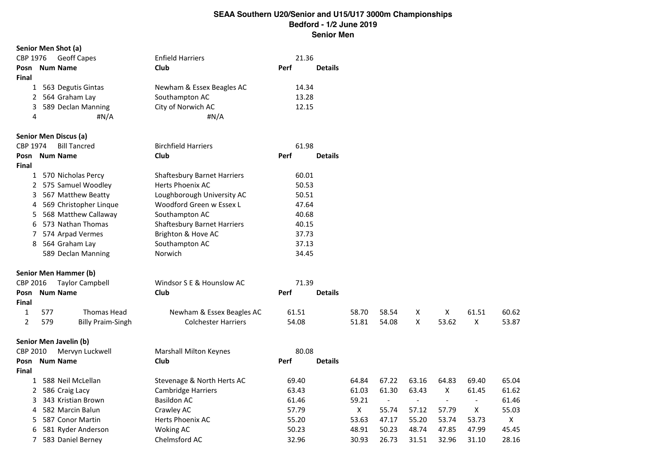|                |     | Senior Men Shot (a)          |                                    |      |       |                |              |                |                |                          |                |       |
|----------------|-----|------------------------------|------------------------------------|------|-------|----------------|--------------|----------------|----------------|--------------------------|----------------|-------|
| CBP 1976       |     | <b>Geoff Capes</b>           | <b>Enfield Harriers</b>            |      | 21.36 |                |              |                |                |                          |                |       |
| Posn           |     | <b>Num Name</b>              | Club                               | Perf |       | <b>Details</b> |              |                |                |                          |                |       |
| <b>Final</b>   |     |                              |                                    |      |       |                |              |                |                |                          |                |       |
|                |     | 1 563 Degutis Gintas         | Newham & Essex Beagles AC          |      | 14.34 |                |              |                |                |                          |                |       |
|                |     | 2 564 Graham Lay             | Southampton AC                     |      | 13.28 |                |              |                |                |                          |                |       |
| 3              |     | 589 Declan Manning           | City of Norwich AC                 |      | 12.15 |                |              |                |                |                          |                |       |
| 4              |     | #N/A                         | #N/A                               |      |       |                |              |                |                |                          |                |       |
|                |     | Senior Men Discus (a)        |                                    |      |       |                |              |                |                |                          |                |       |
| CBP 1974       |     | <b>Bill Tancred</b>          | <b>Birchfield Harriers</b>         |      | 61.98 |                |              |                |                |                          |                |       |
| Posn           |     | <b>Num Name</b>              | Club                               | Perf |       | <b>Details</b> |              |                |                |                          |                |       |
| Final          |     |                              |                                    |      |       |                |              |                |                |                          |                |       |
|                |     | 1 570 Nicholas Percy         | <b>Shaftesbury Barnet Harriers</b> |      | 60.01 |                |              |                |                |                          |                |       |
|                |     | 2 575 Samuel Woodley         | <b>Herts Phoenix AC</b>            |      | 50.53 |                |              |                |                |                          |                |       |
| 3              |     | 567 Matthew Beatty           | Loughborough University AC         |      | 50.51 |                |              |                |                |                          |                |       |
| 4              |     | 569 Christopher Linque       | Woodford Green w Essex L           |      | 47.64 |                |              |                |                |                          |                |       |
|                |     | 5 568 Matthew Callaway       | Southampton AC                     |      | 40.68 |                |              |                |                |                          |                |       |
| 6              |     | 573 Nathan Thomas            | <b>Shaftesbury Barnet Harriers</b> |      | 40.15 |                |              |                |                |                          |                |       |
| 7              |     | 574 Arpad Vermes             | Brighton & Hove AC                 |      | 37.73 |                |              |                |                |                          |                |       |
|                |     | 8 564 Graham Lay             | Southampton AC                     |      | 37.13 |                |              |                |                |                          |                |       |
|                |     | 589 Declan Manning           | Norwich                            |      | 34.45 |                |              |                |                |                          |                |       |
|                |     | <b>Senior Men Hammer (b)</b> |                                    |      |       |                |              |                |                |                          |                |       |
| CBP 2016       |     | <b>Taylor Campbell</b>       | Windsor S E & Hounslow AC          |      | 71.39 |                |              |                |                |                          |                |       |
| Posn           |     | <b>Num Name</b>              | Club                               | Perf |       | <b>Details</b> |              |                |                |                          |                |       |
| <b>Final</b>   |     |                              |                                    |      |       |                |              |                |                |                          |                |       |
| $\mathbf{1}$   | 577 | Thomas Head                  | Newham & Essex Beagles AC          |      | 61.51 |                | 58.70        | 58.54          | Χ              | X                        | 61.51          | 60.62 |
| $\overline{2}$ | 579 | <b>Billy Praim-Singh</b>     | <b>Colchester Harriers</b>         |      | 54.08 |                | 51.81        | 54.08          | X              | 53.62                    | X              | 53.87 |
|                |     | Senior Men Javelin (b)       |                                    |      |       |                |              |                |                |                          |                |       |
| CBP 2010       |     | Mervyn Luckwell              | <b>Marshall Milton Keynes</b>      |      | 80.08 |                |              |                |                |                          |                |       |
| Posn           |     | <b>Num Name</b>              | Club                               | Perf |       | <b>Details</b> |              |                |                |                          |                |       |
| Final          |     |                              |                                    |      |       |                |              |                |                |                          |                |       |
|                |     | 1 588 Neil McLellan          | Stevenage & North Herts AC         |      | 69.40 |                | 64.84        | 67.22          | 63.16          | 64.83                    | 69.40          | 65.04 |
|                |     | 2 586 Craig Lacy             | <b>Cambridge Harriers</b>          |      | 63.43 |                | 61.03        | 61.30          | 63.43          | X                        | 61.45          | 61.62 |
| 3              |     | 343 Kristian Brown           | <b>Basildon AC</b>                 |      | 61.46 |                | 59.21        | $\blacksquare$ | $\blacksquare$ | $\overline{\phantom{a}}$ | $\blacksquare$ | 61.46 |
| 4              |     | 582 Marcin Balun             | Crawley AC                         |      | 57.79 |                | $\mathsf{X}$ | 55.74          | 57.12          | 57.79                    | X              | 55.03 |
| 5.             |     | 587 Conor Martin             | Herts Phoenix AC                   |      | 55.20 |                | 53.63        | 47.17          | 55.20          | 53.74                    | 53.73          | X     |
| 6              |     | 581 Ryder Anderson           | <b>Woking AC</b>                   |      | 50.23 |                | 48.91        | 50.23          | 48.74          | 47.85                    | 47.99          | 45.45 |
| $\overline{7}$ |     | 583 Daniel Berney            | Chelmsford AC                      |      | 32.96 |                | 30.93        | 26.73          | 31.51          | 32.96                    | 31.10          | 28.16 |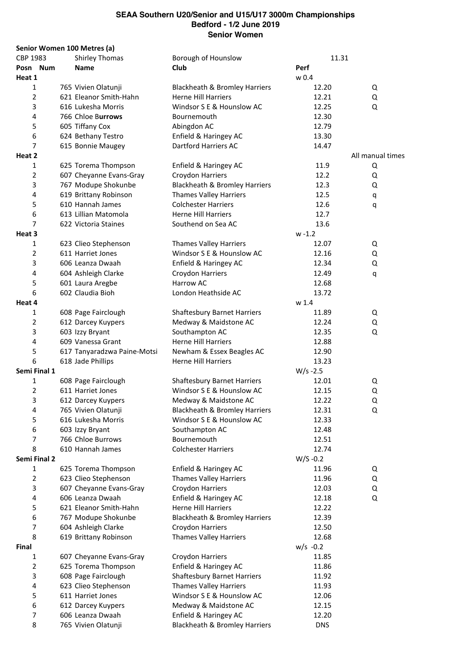| Senior Women 100 Metres (a) |                             |                                          |             |            |                  |
|-----------------------------|-----------------------------|------------------------------------------|-------------|------------|------------------|
| CBP 1983                    | <b>Shirley Thomas</b>       | Borough of Hounslow                      |             | 11.31      |                  |
| Posn Num                    | <b>Name</b>                 | Club                                     | Perf        |            |                  |
| Heat 1                      |                             |                                          | w 0.4       |            |                  |
| 1                           | 765 Vivien Olatunji         | Blackheath & Bromley Harriers            |             | 12.20      | Q                |
| 2                           | 621 Eleanor Smith-Hahn      | <b>Herne Hill Harriers</b>               |             | 12.21      | Q                |
| 3                           | 616 Lukesha Morris          | Windsor S E & Hounslow AC                |             | 12.25      | Q                |
| 4                           | 766 Chloe Burrows           | Bournemouth                              |             | 12.30      |                  |
| 5                           | 605 Tiffany Cox             | Abingdon AC                              |             | 12.79      |                  |
| 6                           | 624 Bethany Testro          | Enfield & Haringey AC                    |             | 13.30      |                  |
| 7                           |                             |                                          |             |            |                  |
|                             | 615 Bonnie Maugey           | Dartford Harriers AC                     |             | 14.47      |                  |
| Heat 2                      |                             |                                          |             |            | All manual times |
| 1                           | 625 Torema Thompson         | Enfield & Haringey AC                    |             | 11.9       | Q                |
| 2                           | 607 Cheyanne Evans-Gray     | Croydon Harriers                         |             | 12.2       | Q                |
| 3                           | 767 Modupe Shokunbe         | Blackheath & Bromley Harriers            |             | 12.3       | Q                |
| 4                           | 619 Brittany Robinson       | <b>Thames Valley Harriers</b>            |             | 12.5       | q                |
| 5                           | 610 Hannah James            | <b>Colchester Harriers</b>               |             | 12.6       | q                |
| 6                           | 613 Lillian Matomola        | <b>Herne Hill Harriers</b>               |             | 12.7       |                  |
| 7                           | 622 Victoria Staines        | Southend on Sea AC                       |             | 13.6       |                  |
| Heat 3                      |                             |                                          | $w - 1.2$   |            |                  |
| 1                           | 623 Clieo Stephenson        | <b>Thames Valley Harriers</b>            |             | 12.07      | Q                |
| 2                           | 611 Harriet Jones           | Windsor S E & Hounslow AC                |             | 12.16      | Q                |
| 3                           | 606 Leanza Dwaah            | Enfield & Haringey AC                    |             | 12.34      | Q                |
|                             |                             |                                          |             |            |                  |
| 4                           | 604 Ashleigh Clarke         | Croydon Harriers                         |             | 12.49      | q                |
| 5                           | 601 Laura Aregbe            | Harrow AC                                |             | 12.68      |                  |
| 6                           | 602 Claudia Bioh            | London Heathside AC                      |             | 13.72      |                  |
| Heat 4                      |                             |                                          | w 1.4       |            |                  |
| 1                           | 608 Page Fairclough         | <b>Shaftesbury Barnet Harriers</b>       |             | 11.89      | Q                |
| 2                           | 612 Darcey Kuypers          | Medway & Maidstone AC                    |             | 12.24      | Q                |
| 3                           | 603 Izzy Bryant             | Southampton AC                           |             | 12.35      | Q                |
| 4                           | 609 Vanessa Grant           | <b>Herne Hill Harriers</b>               |             | 12.88      |                  |
| 5                           | 617 Tanyaradzwa Paine-Motsi | Newham & Essex Beagles AC                |             | 12.90      |                  |
| 6                           | 618 Jade Phillips           | <b>Herne Hill Harriers</b>               |             | 13.23      |                  |
| Semi Final 1                |                             |                                          | $W/s - 2.5$ |            |                  |
| $\mathbf{1}$                | 608 Page Fairclough         | <b>Shaftesbury Barnet Harriers</b>       |             | 12.01      | Q                |
| 2                           | 611 Harriet Jones           | Windsor S E & Hounslow AC                |             | 12.15      | Q                |
| 3                           | 612 Darcey Kuypers          | Medway & Maidstone AC                    |             | 12.22      | Q                |
|                             |                             | <b>Blackheath &amp; Bromley Harriers</b> |             |            |                  |
| 4                           | 765 Vivien Olatunji         |                                          |             | 12.31      | Q                |
| 5                           | 616 Lukesha Morris          | Windsor S E & Hounslow AC                |             | 12.33      |                  |
| 6                           | 603 Izzy Bryant             | Southampton AC                           |             | 12.48      |                  |
| 7                           | 766 Chloe Burrows           | Bournemouth                              |             | 12.51      |                  |
| 8                           | 610 Hannah James            | <b>Colchester Harriers</b>               |             | 12.74      |                  |
| Semi Final 2                |                             |                                          | $W/S -0.2$  |            |                  |
| 1                           | 625 Torema Thompson         | Enfield & Haringey AC                    |             | 11.96      | Q                |
| 2                           | 623 Clieo Stephenson        | <b>Thames Valley Harriers</b>            |             | 11.96      | Q                |
| 3                           | 607 Cheyanne Evans-Gray     | Croydon Harriers                         |             | 12.03      | Q                |
| 4                           | 606 Leanza Dwaah            | Enfield & Haringey AC                    |             | 12.18      | Q                |
| 5                           | 621 Eleanor Smith-Hahn      | <b>Herne Hill Harriers</b>               |             | 12.22      |                  |
| 6                           | 767 Modupe Shokunbe         | Blackheath & Bromley Harriers            |             | 12.39      |                  |
| 7                           | 604 Ashleigh Clarke         | Croydon Harriers                         |             | 12.50      |                  |
| 8                           | 619 Brittany Robinson       | <b>Thames Valley Harriers</b>            |             | 12.68      |                  |
| Final                       |                             |                                          | $w/s -0.2$  |            |                  |
|                             |                             |                                          |             |            |                  |
| 1                           | 607 Cheyanne Evans-Gray     | Croydon Harriers                         |             | 11.85      |                  |
| 2                           | 625 Torema Thompson         | Enfield & Haringey AC                    |             | 11.86      |                  |
| 3                           | 608 Page Fairclough         | <b>Shaftesbury Barnet Harriers</b>       |             | 11.92      |                  |
| 4                           | 623 Clieo Stephenson        | <b>Thames Valley Harriers</b>            |             | 11.93      |                  |
| 5                           | 611 Harriet Jones           | Windsor S E & Hounslow AC                |             | 12.06      |                  |
| 6                           | 612 Darcey Kuypers          | Medway & Maidstone AC                    |             | 12.15      |                  |
| 7                           | 606 Leanza Dwaah            | Enfield & Haringey AC                    |             | 12.20      |                  |
| 8                           | 765 Vivien Olatunji         | <b>Blackheath &amp; Bromley Harriers</b> |             | <b>DNS</b> |                  |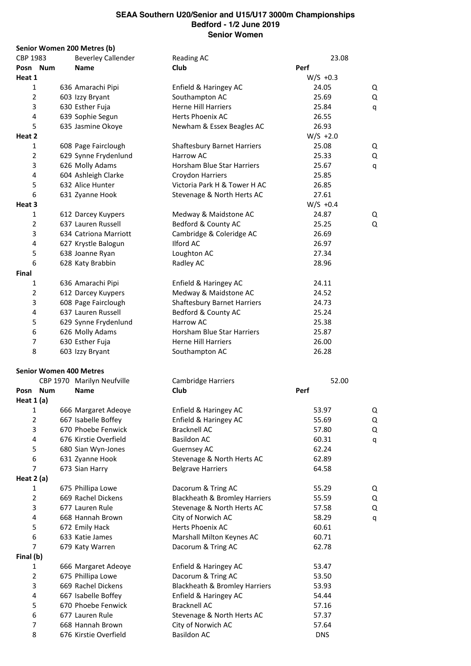|                                | Senior Women 200 Metres (b) |                                          |            |       |   |
|--------------------------------|-----------------------------|------------------------------------------|------------|-------|---|
| CBP 1983                       | <b>Beverley Callender</b>   | <b>Reading AC</b>                        |            | 23.08 |   |
| Posn Num                       | <b>Name</b>                 | Club                                     | Perf       |       |   |
| Heat 1                         |                             |                                          | $W/S +0.3$ |       |   |
| 1                              | 636 Amarachi Pipi           | Enfield & Haringey AC                    | 24.05      |       | Q |
| $\overline{2}$                 | 603 Izzy Bryant             | Southampton AC                           | 25.69      |       | Q |
| 3                              | 630 Esther Fuja             | <b>Herne Hill Harriers</b>               | 25.84      |       | q |
| 4                              | 639 Sophie Segun            | Herts Phoenix AC                         | 26.55      |       |   |
| 5                              | 635 Jasmine Okoye           | Newham & Essex Beagles AC                | 26.93      |       |   |
| Heat 2                         |                             |                                          | $W/S +2.0$ |       |   |
| 1                              | 608 Page Fairclough         | <b>Shaftesbury Barnet Harriers</b>       | 25.08      |       | Q |
| $\overline{2}$                 | 629 Synne Frydenlund        | Harrow AC                                | 25.33      |       | Q |
| 3                              | 626 Molly Adams             | Horsham Blue Star Harriers               | 25.67      |       |   |
| 4                              |                             |                                          |            |       | q |
|                                | 604 Ashleigh Clarke         | Croydon Harriers                         | 25.85      |       |   |
| 5                              | 632 Alice Hunter            | Victoria Park H & Tower H AC             | 26.85      |       |   |
| 6                              | 631 Zyanne Hook             | Stevenage & North Herts AC               | 27.61      |       |   |
| Heat 3                         |                             |                                          | $W/S +0.4$ |       |   |
| 1                              | 612 Darcey Kuypers          | Medway & Maidstone AC                    | 24.87      |       | Q |
| $\overline{2}$                 | 637 Lauren Russell          | Bedford & County AC                      | 25.25      |       | Q |
| 3                              | 634 Catriona Marriott       | Cambridge & Coleridge AC                 | 26.69      |       |   |
| 4                              | 627 Krystle Balogun         | <b>Ilford AC</b>                         | 26.97      |       |   |
| 5                              | 638 Joanne Ryan             | Loughton AC                              | 27.34      |       |   |
| 6                              | 628 Katy Brabbin            | Radley AC                                | 28.96      |       |   |
| Final                          |                             |                                          |            |       |   |
| 1                              | 636 Amarachi Pipi           | Enfield & Haringey AC                    | 24.11      |       |   |
| $\overline{2}$                 | 612 Darcey Kuypers          | Medway & Maidstone AC                    | 24.52      |       |   |
| 3                              | 608 Page Fairclough         | <b>Shaftesbury Barnet Harriers</b>       | 24.73      |       |   |
| 4                              | 637 Lauren Russell          | Bedford & County AC                      | 25.24      |       |   |
| 5                              | 629 Synne Frydenlund        | Harrow AC                                | 25.38      |       |   |
| 6                              | 626 Molly Adams             | Horsham Blue Star Harriers               | 25.87      |       |   |
| $\overline{7}$                 | 630 Esther Fuja             | <b>Herne Hill Harriers</b>               | 26.00      |       |   |
| 8                              |                             |                                          | 26.28      |       |   |
|                                | 603 Izzy Bryant             | Southampton AC                           |            |       |   |
| <b>Senior Women 400 Metres</b> |                             |                                          |            |       |   |
|                                | CBP 1970 Marilyn Neufville  | Cambridge Harriers                       |            | 52.00 |   |
| Posn Num                       | <b>Name</b>                 | Club                                     | Perf       |       |   |
| Heat 1 (a)                     |                             |                                          |            |       |   |
| $\mathbf{1}$                   | 666 Margaret Adeoye         | Enfield & Haringey AC                    | 53.97      |       | Q |
| $\overline{2}$                 | 667 Isabelle Boffey         | Enfield & Haringey AC                    |            |       |   |
| 3                              |                             |                                          | 55.69      |       | Q |
|                                | 670 Phoebe Fenwick          | <b>Bracknell AC</b>                      | 57.80      |       | Q |
| $\overline{\mathbf{4}}$        | 676 Kirstie Overfield       | <b>Basildon AC</b>                       | 60.31      |       | q |
| 5                              | 680 Sian Wyn-Jones          | <b>Guernsey AC</b>                       | 62.24      |       |   |
| 6                              | 631 Zyanne Hook             | Stevenage & North Herts AC               | 62.89      |       |   |
| 7                              | 673 Sian Harry              | <b>Belgrave Harriers</b>                 | 64.58      |       |   |
| Heat 2 (a)                     |                             |                                          |            |       |   |
| 1                              | 675 Phillipa Lowe           | Dacorum & Tring AC                       | 55.29      |       | Q |
| $\overline{2}$                 | 669 Rachel Dickens          | Blackheath & Bromley Harriers            | 55.59      |       | Q |
| 3                              | 677 Lauren Rule             | Stevenage & North Herts AC               | 57.58      |       | Q |
| 4                              | 668 Hannah Brown            | City of Norwich AC                       | 58.29      |       | q |
| 5                              | 672 Emily Hack              | Herts Phoenix AC                         | 60.61      |       |   |
| 6                              | 633 Katie James             | Marshall Milton Keynes AC                | 60.71      |       |   |
| $\overline{7}$                 | 679 Katy Warren             | Dacorum & Tring AC                       | 62.78      |       |   |
| Final (b)                      |                             |                                          |            |       |   |
| 1                              | 666 Margaret Adeoye         | Enfield & Haringey AC                    | 53.47      |       |   |
| $\overline{2}$                 | 675 Phillipa Lowe           | Dacorum & Tring AC                       | 53.50      |       |   |
| 3                              | 669 Rachel Dickens          | <b>Blackheath &amp; Bromley Harriers</b> | 53.93      |       |   |
| 4                              |                             |                                          |            |       |   |
|                                | 667 Isabelle Boffey         | Enfield & Haringey AC                    | 54.44      |       |   |
| 5                              | 670 Phoebe Fenwick          | <b>Bracknell AC</b>                      | 57.16      |       |   |
| 6                              | 677 Lauren Rule             | Stevenage & North Herts AC               | 57.37      |       |   |
| 7                              | 668 Hannah Brown            | City of Norwich AC                       | 57.64      |       |   |
| 8                              | 676 Kirstie Overfield       | <b>Basildon AC</b>                       | <b>DNS</b> |       |   |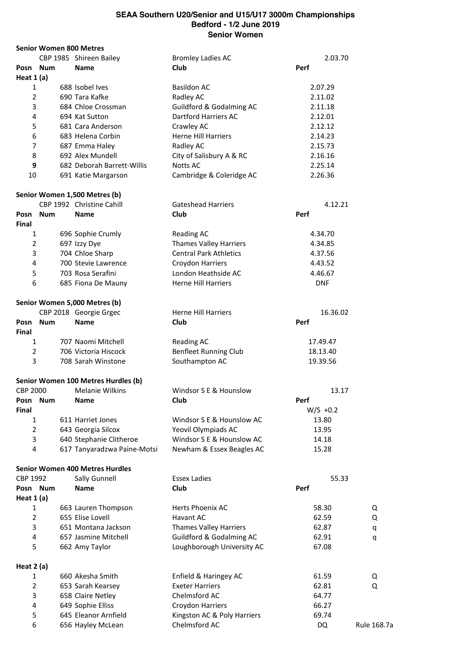|                 |              | <b>Senior Women 800 Metres</b>         |                               |      |            |             |
|-----------------|--------------|----------------------------------------|-------------------------------|------|------------|-------------|
|                 |              | CBP 1985 Shireen Bailey                | <b>Bromley Ladies AC</b>      |      | 2.03.70    |             |
| Posn            | Num          | <b>Name</b>                            | Club                          | Perf |            |             |
| Heat $1(a)$     |              |                                        |                               |      |            |             |
| 1               |              | 688 Isobel Ives                        | <b>Basildon AC</b>            |      | 2.07.29    |             |
| $\overline{2}$  |              | 690 Tara Kafke                         | Radley AC                     |      | 2.11.02    |             |
| 3               |              | 684 Chloe Crossman                     | Guildford & Godalming AC      |      | 2.11.18    |             |
| 4               |              | 694 Kat Sutton                         | Dartford Harriers AC          |      | 2.12.01    |             |
|                 |              |                                        |                               |      |            |             |
| 5               |              | 681 Cara Anderson                      | Crawley AC                    |      | 2.12.12    |             |
| 6               |              | 683 Helena Corbin                      | <b>Herne Hill Harriers</b>    |      | 2.14.23    |             |
| 7               |              | 687 Emma Haley                         | Radley AC                     |      | 2.15.73    |             |
| 8               |              | 692 Alex Mundell                       | City of Salisbury A & RC      |      | 2.16.16    |             |
| 9               |              | 682 Deborah Barrett-Willis             | Notts AC                      |      | 2.25.14    |             |
| 10              |              | 691 Katie Margarson                    | Cambridge & Coleridge AC      |      | 2.26.36    |             |
|                 |              | Senior Women 1,500 Metres (b)          |                               |      |            |             |
|                 |              | CBP 1992 Christine Cahill              | <b>Gateshead Harriers</b>     |      | 4.12.21    |             |
| Posn<br>Final   | <b>Num</b>   | <b>Name</b>                            | Club                          | Perf |            |             |
| 1               |              | 696 Sophie Crumly                      | <b>Reading AC</b>             |      | 4.34.70    |             |
| $\overline{2}$  |              | 697 Izzy Dye                           | <b>Thames Valley Harriers</b> |      | 4.34.85    |             |
| 3               |              | 704 Chloe Sharp                        | <b>Central Park Athletics</b> |      | 4.37.56    |             |
| 4               |              | 700 Stevie Lawrence                    |                               |      |            |             |
|                 |              |                                        | Croydon Harriers              |      | 4.43.52    |             |
| 5               |              | 703 Rosa Serafini                      | London Heathside AC           |      | 4.46.67    |             |
| 6               |              | 685 Fiona De Mauny                     | <b>Herne Hill Harriers</b>    |      | <b>DNF</b> |             |
|                 |              | Senior Women 5,000 Metres (b)          |                               |      |            |             |
|                 |              | CBP 2018 Georgie Grgec                 | <b>Herne Hill Harriers</b>    |      | 16.36.02   |             |
| Posn<br>Final   | <b>Num</b>   | <b>Name</b>                            | Club                          | Perf |            |             |
|                 | $\mathbf{1}$ | 707 Naomi Mitchell                     | <b>Reading AC</b>             |      | 17.49.47   |             |
| $\overline{2}$  |              | 706 Victoria Hiscock                   | <b>Benfleet Running Club</b>  |      | 18.13.40   |             |
| 3               |              | 708 Sarah Winstone                     | Southampton AC                |      | 19.39.56   |             |
|                 |              | Senior Women 100 Metres Hurdles (b)    |                               |      |            |             |
| <b>CBP 2000</b> |              | <b>Melanie Wilkins</b>                 | Windsor S E & Hounslow        |      | 13.17      |             |
| Posn            | Num          | <b>Name</b>                            | Club                          | Perf |            |             |
| Final           |              |                                        |                               |      | $W/S +0.2$ |             |
| 1               |              | 611 Harriet Jones                      | Windsor S E & Hounslow AC     |      | 13.80      |             |
| $\overline{2}$  |              | 643 Georgia Silcox                     | Yeovil Olympiads AC           |      | 13.95      |             |
| 3               |              | 640 Stephanie Clitheroe                | Windsor S E & Hounslow AC     |      | 14.18      |             |
| 4               |              | 617 Tanyaradzwa Paine-Motsi            | Newham & Essex Beagles AC     |      | 15.28      |             |
|                 |              | <b>Senior Women 400 Metres Hurdles</b> |                               |      |            |             |
| CBP 1992        |              |                                        | <b>Essex Ladies</b>           |      | 55.33      |             |
|                 |              | Sally Gunnell                          |                               |      |            |             |
|                 | Posn Num     | Name                                   | Club                          | Perf |            |             |
| Heat $1(a)$     |              |                                        |                               |      |            |             |
| $\mathbf{1}$    |              | 663 Lauren Thompson                    | Herts Phoenix AC              |      | 58.30      | Q           |
| $\overline{2}$  |              | 655 Elise Lovell                       | Havant AC                     |      | 62.59      | Q           |
| 3               |              | 651 Montana Jackson                    | <b>Thames Valley Harriers</b> |      | 62.87      | q           |
| 4               |              | 657 Jasmine Mitchell                   | Guildford & Godalming AC      |      | 62.91      | q           |
| 5               |              | 662 Amy Taylor                         | Loughborough University AC    |      | 67.08      |             |
| Heat 2 (a)      |              |                                        |                               |      |            |             |
| 1               |              | 660 Akesha Smith                       | Enfield & Haringey AC         |      | 61.59      | Q           |
| $\overline{2}$  |              | 653 Sarah Kearsey                      | <b>Exeter Harriers</b>        |      | 62.81      | Q           |
| 3               |              | 658 Claire Netley                      | Chelmsford AC                 |      | 64.77      |             |
| 4               |              | 649 Sophie Elliss                      | Croydon Harriers              |      | 66.27      |             |
| 5               |              | 645 Eleanor Arnfield                   | Kingston AC & Poly Harriers   |      | 69.74      |             |
| 6               |              | 656 Hayley McLean                      | Chelmsford AC                 |      | DQ         | Rule 168.7a |
|                 |              |                                        |                               |      |            |             |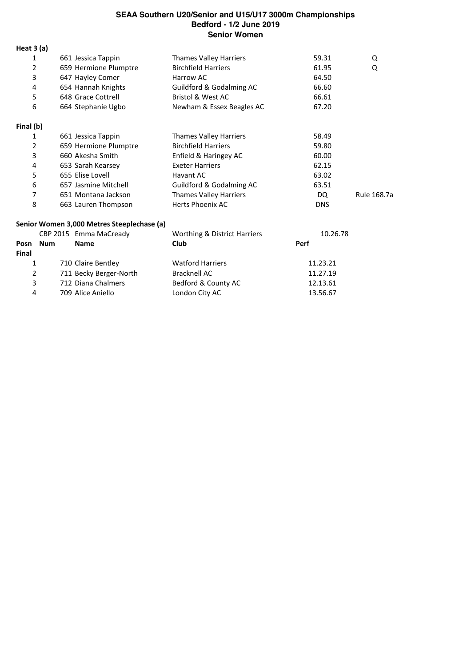**Heat 3 (a)** 661 Jessica Tappin Thames Valley Harriers 59.31 Q 2 659 Hermione Plumptre Birchfield Harriers 61.95 Q 647 Hayley Comer Harrow AC 64.50 654 Hannah Knights Guildford & Godalming AC 66.60 648 Grace Cottrell Bristol & West AC 66.61 664 Stephanie Ugbo Newham & Essex Beagles AC 67.20 **Final (b)** 661 Jessica Tappin Thames Valley Harriers 58.49 2 659 Hermione Plumptre Birchfield Harriers 659.80 660 Akesha Smith Enfield & Haringey AC 60.00 653 Sarah Kearsey Exeter Harriers 62.15 655 Elise Lovell Havant AC 63.02 657 Jasmine Mitchell Guildford & Godalming AC 63.51 651 Montana Jackson Thames Valley Harriers DQ Rule 168.7a 8 663 Lauren Thompson Herts Phoenix AC 663 Lauren Thompson

#### **Senior Women 3,000 Metres Steeplechase (a)**

|              |     | CBP 2015 Emma MaCready | Worthing & District Harriers | 10.26.78 |
|--------------|-----|------------------------|------------------------------|----------|
| Posn         | Num | Name                   | <b>Club</b>                  | Perf     |
| <b>Final</b> |     |                        |                              |          |
|              |     | 710 Claire Bentley     | <b>Watford Harriers</b>      | 11.23.21 |
| 2            |     | 711 Becky Berger-North | Bracknell AC                 | 11.27.19 |
| 3            |     | 712 Diana Chalmers     | Bedford & County AC          | 12.13.61 |
| 4            |     | 709 Alice Aniello      | London City AC               | 13.56.67 |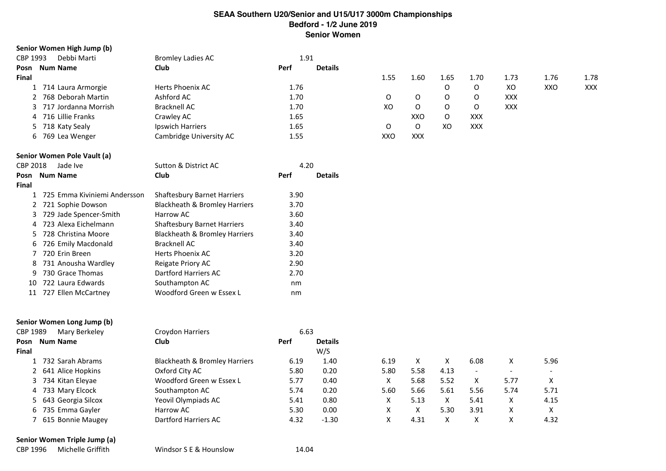#### **Senior Women High Jump (b)**

| CBP 1993<br>Debbi Marti | <b>Bromley Ladies AC</b> | 1.91                   |      |            |      |            |            |      |            |
|-------------------------|--------------------------|------------------------|------|------------|------|------------|------------|------|------------|
| <b>Num Name</b><br>Posn | <b>Club</b>              | Perf<br><b>Details</b> |      |            |      |            |            |      |            |
| Final                   |                          |                        | 1.55 | 1.60       | 1.65 | 1.70       | 1.73       | 1.76 | 1.78       |
| L 714 Laura Armorgie    | Herts Phoenix AC         | 1.76                   |      |            | 0    |            | XO         | XXO  | <b>XXX</b> |
| 2 768 Deborah Martin    | Ashford AC               | 1.70                   |      |            | O    |            | <b>XXX</b> |      |            |
| 3 717 Jordanna Morrish  | <b>Bracknell AC</b>      | 1.70                   | XO   | 0          | O    |            | <b>XXX</b> |      |            |
| 4 716 Lillie Franks     | Crawley AC               | 1.65                   |      | XXO        | O    | <b>XXX</b> |            |      |            |
| 5 718 Katy Sealy        | Ipswich Harriers         | 1.65                   | O    |            | xo   | XXX        |            |      |            |
| 6 769 Lea Wenger        | Cambridge University AC  | 1.55                   | XXO  | <b>XXX</b> |      |            |            |      |            |
|                         |                          |                        |      |            |      |            |            |      |            |

#### **Senior Women Pole Vault (a)**

| CBP 2018     | Jade Ive                       | Sutton & District AC               | 4.20 |                |
|--------------|--------------------------------|------------------------------------|------|----------------|
| Posn         | <b>Num Name</b>                | Club                               | Perf | <b>Details</b> |
| <b>Final</b> |                                |                                    |      |                |
|              | 1 725 Emma Kiviniemi Andersson | <b>Shaftesbury Barnet Harriers</b> | 3.90 |                |
|              | 2 721 Sophie Dowson            | Blackheath & Bromley Harriers      | 3.70 |                |
|              | 3 729 Jade Spencer-Smith       | Harrow AC                          | 3.60 |                |
| 4            | 723 Alexa Eichelmann           | <b>Shaftesbury Barnet Harriers</b> | 3.40 |                |
|              | 5 728 Christina Moore          | Blackheath & Bromley Harriers      | 3.40 |                |
|              | 6 726 Emily Macdonald          | <b>Bracknell AC</b>                | 3.40 |                |
|              | 720 Erin Breen                 | Herts Phoenix AC                   | 3.20 |                |
| 8            | 731 Anousha Wardley            | <b>Reigate Priory AC</b>           | 2.90 |                |
| 9            | 730 Grace Thomas               | Dartford Harriers AC               | 2.70 |                |
|              | 10 722 Laura Edwards           | Southampton AC                     | nm   |                |
|              | 11 727 Ellen McCartney         | Woodford Green w Essex L           | nm   |                |

#### **Senior Women Long Jump (b)**

| CBP 1989 | Mary Berkeley        | Croydon Harriers              | 6.63 |                |      |      |      |                          |                          |      |
|----------|----------------------|-------------------------------|------|----------------|------|------|------|--------------------------|--------------------------|------|
| Posn     | <b>Num Name</b>      | <b>Club</b>                   | Perf | <b>Details</b> |      |      |      |                          |                          |      |
| Final    |                      |                               |      | W/S            |      |      |      |                          |                          |      |
|          | 732 Sarah Abrams     | Blackheath & Bromley Harriers | 6.19 | 1.40           | 6.19 |      |      | 6.08                     | x                        | 5.96 |
|          | 2 641 Alice Hopkins  | Oxford City AC                | 5.80 | 0.20           | 5.80 | 5.58 | 4.13 | $\overline{\phantom{0}}$ | $\overline{\phantom{0}}$ |      |
|          | 3 734 Kitan Eleyae   | Woodford Green w Essex L      | 5.77 | 0.40           |      | 5.68 | 5.52 | x                        | 5.77                     |      |
|          | 4 733 Mary Elcock    | Southampton AC                | 5.74 | 0.20           | 5.60 | 5.66 | 5.61 | 5.56                     | 5.74                     | 5.71 |
|          | 5 643 Georgia Silcox | Yeovil Olympiads AC           | 5.41 | 0.80           |      | 5.13 | x    | 5.41                     | x                        | 4.15 |
|          | 6 735 Emma Gayler    | Harrow AC                     | 5.30 | 0.00           | x    | x    | 5.30 | 3.91                     | X                        |      |
|          | 615 Bonnie Maugey    | Dartford Harriers AC          | 4.32 | $-1.30$        | x    | 4.31 | x    | x                        | х                        | 4.32 |
|          |                      |                               |      |                |      |      |      |                          |                          |      |

#### **Senior Women Triple Jump (a)**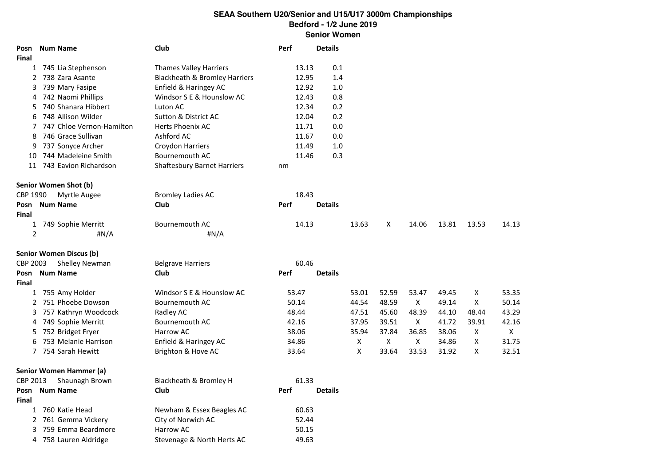| Posn<br>Final   | <b>Num Name</b>                | Club                                     | Perf        |       | <b>Details</b> |       |       |       |       |       |       |
|-----------------|--------------------------------|------------------------------------------|-------------|-------|----------------|-------|-------|-------|-------|-------|-------|
|                 | 1 745 Lia Stephenson           | <b>Thames Valley Harriers</b>            |             | 13.13 | 0.1            |       |       |       |       |       |       |
|                 | 2 738 Zara Asante              | <b>Blackheath &amp; Bromley Harriers</b> |             | 12.95 | 1.4            |       |       |       |       |       |       |
| 3               | 739 Mary Fasipe                | Enfield & Haringey AC                    |             | 12.92 | 1.0            |       |       |       |       |       |       |
|                 | 4 742 Naomi Phillips           | Windsor S E & Hounslow AC                |             | 12.43 | 0.8            |       |       |       |       |       |       |
| 5.              | 740 Shanara Hibbert            | Luton AC                                 |             | 12.34 | 0.2            |       |       |       |       |       |       |
| 6               | 748 Allison Wilder             | Sutton & District AC                     |             | 12.04 | 0.2            |       |       |       |       |       |       |
| 7               | 747 Chloe Vernon-Hamilton      | <b>Herts Phoenix AC</b>                  |             | 11.71 | 0.0            |       |       |       |       |       |       |
| 8               | 746 Grace Sullivan             | Ashford AC                               |             | 11.67 | 0.0            |       |       |       |       |       |       |
| 9               | 737 Sonyce Archer              | Croydon Harriers                         |             | 11.49 | 1.0            |       |       |       |       |       |       |
| 10              | 744 Madeleine Smith            | Bournemouth AC                           |             | 11.46 | 0.3            |       |       |       |       |       |       |
|                 | 11 743 Eavion Richardson       | <b>Shaftesbury Barnet Harriers</b>       | nm          |       |                |       |       |       |       |       |       |
|                 | Senior Women Shot (b)          |                                          |             |       |                |       |       |       |       |       |       |
| CBP 1990        | Myrtle Augee                   | <b>Bromley Ladies AC</b>                 |             | 18.43 |                |       |       |       |       |       |       |
| Posn            | <b>Num Name</b>                | Club                                     | Perf        |       | <b>Details</b> |       |       |       |       |       |       |
| Final           |                                |                                          |             |       |                |       |       |       |       |       |       |
| $\overline{2}$  | 1 749 Sophie Merritt<br>#N/A   | Bournemouth AC<br>#N/A                   |             | 14.13 |                | 13.63 | X     | 14.06 | 13.81 | 13.53 | 14.13 |
|                 | <b>Senior Women Discus (b)</b> |                                          |             |       |                |       |       |       |       |       |       |
| <b>CBP 2003</b> | Shelley Newman                 | <b>Belgrave Harriers</b>                 |             | 60.46 |                |       |       |       |       |       |       |
| Posn            | <b>Num Name</b>                | Club                                     | <b>Perf</b> |       | <b>Details</b> |       |       |       |       |       |       |
| <b>Final</b>    |                                |                                          |             |       |                |       |       |       |       |       |       |
|                 | 1 755 Amy Holder               | Windsor S E & Hounslow AC                | 53.47       |       |                | 53.01 | 52.59 | 53.47 | 49.45 | X     | 53.35 |
|                 | 2 751 Phoebe Dowson            | Bournemouth AC                           | 50.14       |       |                | 44.54 | 48.59 | X     | 49.14 | X     | 50.14 |
|                 | 3 757 Kathryn Woodcock         | Radley AC                                | 48.44       |       |                | 47.51 | 45.60 | 48.39 | 44.10 | 48.44 | 43.29 |
| 4               | 749 Sophie Merritt             | Bournemouth AC                           | 42.16       |       |                | 37.95 | 39.51 | X     | 41.72 | 39.91 | 42.16 |
|                 | 5 752 Bridget Fryer            | Harrow AC                                | 38.06       |       |                | 35.94 | 37.84 | 36.85 | 38.06 | X     | X     |
| 6               | 753 Melanie Harrison           | Enfield & Haringey AC                    | 34.86       |       |                | X     | X     | X     | 34.86 | X     | 31.75 |
|                 | 7 754 Sarah Hewitt             | Brighton & Hove AC                       | 33.64       |       |                | X     | 33.64 | 33.53 | 31.92 | X     | 32.51 |
|                 | Senior Women Hammer (a)        |                                          |             |       |                |       |       |       |       |       |       |
| CBP 2013        | Shaunagh Brown                 | Blackheath & Bromley H                   |             | 61.33 |                |       |       |       |       |       |       |
| Posn            | <b>Num Name</b>                | Club                                     | <b>Perf</b> |       | <b>Details</b> |       |       |       |       |       |       |
| Final           |                                |                                          |             |       |                |       |       |       |       |       |       |
|                 | 1 760 Katie Head               | Newham & Essex Beagles AC                |             | 60.63 |                |       |       |       |       |       |       |
|                 | 2 761 Gemma Vickery            | City of Norwich AC                       |             | 52.44 |                |       |       |       |       |       |       |
|                 | 3 759 Emma Beardmore           | Harrow AC                                |             | 50.15 |                |       |       |       |       |       |       |
|                 | 4 758 Lauren Aldridge          | Stevenage & North Herts AC               |             | 49.63 |                |       |       |       |       |       |       |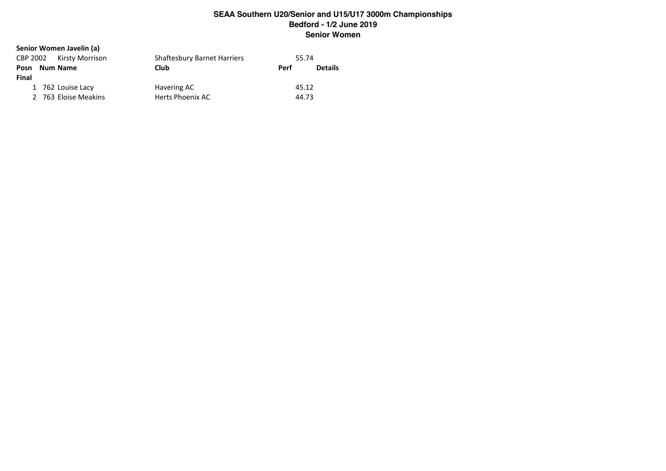#### **Senior Women Javelin (a)**

|       | CBP 2002 Kirsty Morrison | <b>Shaftesbury Barnet Harriers</b> | 55.74 |                |
|-------|--------------------------|------------------------------------|-------|----------------|
| Posn  | Num Name                 | Club                               | Perf  | <b>Details</b> |
| Final |                          |                                    |       |                |
|       | 1 762 Louise Lacy        | Havering AC                        | 45.12 |                |
|       | 2 763 Eloise Meakins     | Herts Phoenix AC                   | 44.73 |                |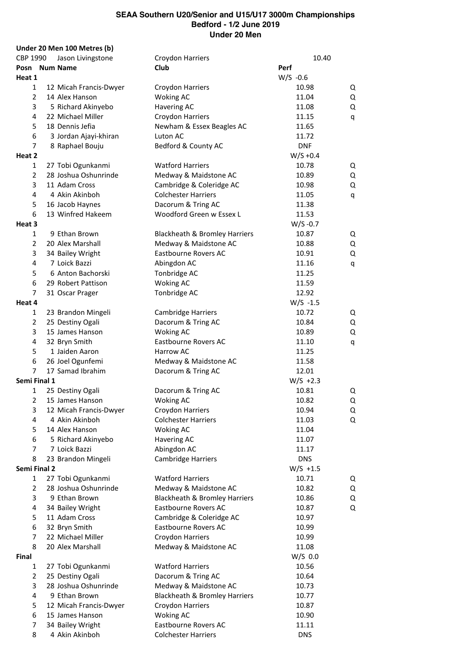**Under 20 Men 100 Metres (b)** CBP 1990 Jason Livingstone Croydon Harriers 10.40 **Posn Num Name Club Perf Heat 1** W/S -0.6 12 Micah Francis-Dwyer Croydon Harriers 10.98 Q 14 Alex Hanson Woking AC 11.04 Q 5 Richard Akinyebo Havering AC 11.08 Q 22 Michael Miller Croydon Harriers 11.15 q 5 18 Dennis Jefia **Newham & Essex Beagles AC** 11.65 3 Jordan Ajayi-khiran Luton AC 11.72 7 8 Raphael Bouju Bedford & County AC DNF **Heat 2** W/S +0.4 1 27 Tobi Ogunkanmi Watford Harriers 10.78 Q 2 28 Joshua Oshunrinde Medway & Maidstone AC 10.89 Q 11 Adam Cross Cambridge & Coleridge AC 10.98 Q 4 Akin Akinboh Colchester Harriers 11.05 q 16 Jacob Haynes Dacorum & Tring AC 11.38 13 Winfred Hakeem Woodford Green w Essex L 11.53 **Heat 3** W/S -0.7 9 Ethan Brown Blackheath & Bromley Harriers 10.87 Q 20 Alex Marshall Medway & Maidstone AC 10.88 Q 3 34 Bailey Wright **Eastbourne Rovers AC** 10.91 Q 7 Loick Bazzi Abingdon AC 11.16 q 6 Anton Bachorski Tonbridge AC 11.25 29 Robert Pattison Woking AC 11.59 31 Oscar Prager Tonbridge AC 12.92 **Heat 4** W/S -1.5 23 Brandon Mingeli Cambridge Harriers 10.72 Q 25 Destiny Ogali Dacorum & Tring AC 10.84 Q 15 James Hanson Woking AC 10.89 Q 4 32 Bryn Smith **Eastbourne Rovers AC** 11.10 q 1 Jaiden Aaron Harrow AC 11.25 26 Joel Ogunfemi Medway & Maidstone AC 11.58 7 17 Samad Ibrahim Dacorum & Tring AC 12.01 **Semi Final 1** W/S +2.3 1 25 Destiny Ogali **Dacorum & Tring AC** 10.81 Q 2 15 James Hanson **Woking AC** 10.82 Q 12 Micah Francis-Dwyer Croydon Harriers 10.94 Q 4 Akin Akinboh Colchester Harriers 11.03 Q 14 Alex Hanson Woking AC 11.04 5 Richard Akinyebo Havering AC 11.07 7 Loick Bazzi Abingdon AC 11.17 23 Brandon Mingeli Cambridge Harriers DNS **Semi Final 2** W/S +1.5 27 Tobi Ogunkanmi Watford Harriers 10.71 Q 28 Joshua Oshunrinde Medway & Maidstone AC 10.82 Q 9 Ethan Brown Blackheath & Bromley Harriers 10.86 Q 34 Bailey Wright Eastbourne Rovers AC 10.87 Q 11 Adam Cross Cambridge & Coleridge AC 10.97 32 Bryn Smith Eastbourne Rovers AC 10.99 22 Michael Miller Croydon Harriers 10.99 8 20 Alex Marshall **Medway & Maidstone AC** 11.08 **Final** W/S 0.0 27 Tobi Ogunkanmi Watford Harriers 10.56 25 Destiny Ogali Dacorum & Tring AC 10.64 28 Joshua Oshunrinde Medway & Maidstone AC 10.73 9 Ethan Brown Blackheath & Bromley Harriers 10.77 5 12 Micah Francis-Dwyer Croydon Harriers 10.87 15 James Hanson Woking AC 10.90 7 34 Bailey Wright **Eastbourne Rovers AC** 11.11 4 Akin Akinboh Colchester Harriers DNS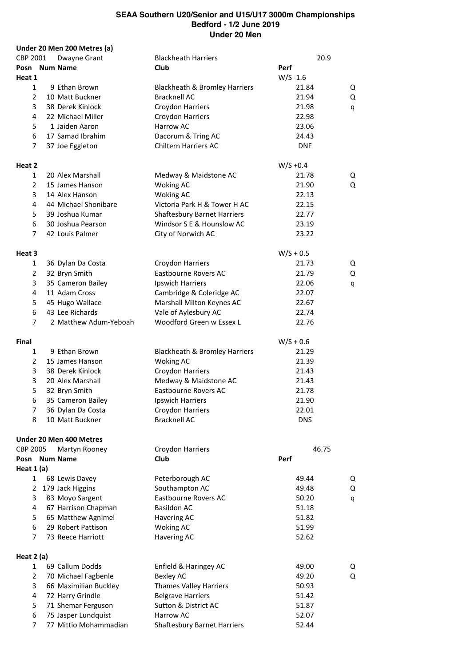|                         | Under 20 Men 200 Metres (a) |                                    |             |            |   |
|-------------------------|-----------------------------|------------------------------------|-------------|------------|---|
| CBP 2001                | Dwayne Grant                | <b>Blackheath Harriers</b>         |             | 20.9       |   |
| Posn Num Name           |                             | Club                               | Perf        |            |   |
| Heat 1                  |                             |                                    | $W/S - 1.6$ |            |   |
| $\mathbf{1}$            | 9 Ethan Brown               | Blackheath & Bromley Harriers      |             | 21.84      | Q |
| $\overline{2}$          | 10 Matt Buckner             | <b>Bracknell AC</b>                |             | 21.94      | Q |
| 3                       | 38 Derek Kinlock            | Croydon Harriers                   |             | 21.98      | q |
| $\overline{4}$          | 22 Michael Miller           | Croydon Harriers                   |             | 22.98      |   |
| 5                       | 1 Jaiden Aaron              | <b>Harrow AC</b>                   |             | 23.06      |   |
| 6                       | 17 Samad Ibrahim            | Dacorum & Tring AC                 |             | 24.43      |   |
| 7                       | 37 Joe Eggleton             | Chiltern Harriers AC               |             | <b>DNF</b> |   |
|                         |                             |                                    |             |            |   |
| Heat 2                  |                             |                                    | $W/S + 0.4$ |            |   |
| 1                       | 20 Alex Marshall            | Medway & Maidstone AC              |             | 21.78      | Q |
| $\overline{2}$          | 15 James Hanson             | <b>Woking AC</b>                   |             | 21.90      | Q |
| 3                       | 14 Alex Hanson              | <b>Woking AC</b>                   |             | 22.13      |   |
| 4                       | 44 Michael Shonibare        | Victoria Park H & Tower H AC       |             | 22.15      |   |
| 5                       | 39 Joshua Kumar             | <b>Shaftesbury Barnet Harriers</b> |             | 22.77      |   |
| 6                       | 30 Joshua Pearson           | Windsor S E & Hounslow AC          |             | 23.19      |   |
| 7                       | 42 Louis Palmer             | City of Norwich AC                 |             | 23.22      |   |
|                         |                             |                                    |             |            |   |
| Heat 3                  |                             |                                    | $W/S + 0.5$ |            |   |
| $\mathbf{1}$            | 36 Dylan Da Costa           | Croydon Harriers                   |             | 21.73      | Q |
| 2                       | 32 Bryn Smith               | Eastbourne Rovers AC               |             | 21.79      | Q |
| 3                       | 35 Cameron Bailey           | Ipswich Harriers                   |             |            |   |
|                         |                             |                                    |             | 22.06      | q |
| 4                       | 11 Adam Cross               | Cambridge & Coleridge AC           |             | 22.07      |   |
| 5                       | 45 Hugo Wallace             | Marshall Milton Keynes AC          |             | 22.67      |   |
| 6                       | 43 Lee Richards             | Vale of Aylesbury AC               |             | 22.74      |   |
| 7                       | 2 Matthew Adum-Yeboah       | Woodford Green w Essex L           |             | 22.76      |   |
| Final                   |                             |                                    | $W/S + 0.6$ |            |   |
|                         |                             |                                    |             |            |   |
| $\mathbf{1}$            | 9 Ethan Brown               | Blackheath & Bromley Harriers      |             | 21.29      |   |
| 2                       | 15 James Hanson             | <b>Woking AC</b>                   |             | 21.39      |   |
| 3                       | 38 Derek Kinlock            | Croydon Harriers                   |             | 21.43      |   |
| 3                       | 20 Alex Marshall            | Medway & Maidstone AC              |             | 21.43      |   |
| 5                       | 32 Bryn Smith               | Eastbourne Rovers AC               |             | 21.78      |   |
| 6                       | 35 Cameron Bailey           | Ipswich Harriers                   |             | 21.90      |   |
| 7                       | 36 Dylan Da Costa           | Croydon Harriers                   |             | 22.01      |   |
| 8                       | 10 Matt Buckner             | <b>Bracknell AC</b>                |             | <b>DNS</b> |   |
|                         |                             |                                    |             |            |   |
|                         | Under 20 Men 400 Metres     |                                    |             |            |   |
| <b>CBP 2005</b>         | Martyn Rooney               | Croydon Harriers                   |             | 46.75      |   |
| Posn Num Name           |                             | Club                               | Perf        |            |   |
| Heat $1(a)$             |                             |                                    |             |            |   |
| $\mathbf{1}$            | 68 Lewis Davey              | Peterborough AC                    |             | 49.44      | Q |
| 2                       | 179 Jack Higgins            | Southampton AC                     |             | 49.48      | Q |
| 3                       | 83 Moyo Sargent             | <b>Eastbourne Rovers AC</b>        |             | 50.20      | q |
| 4                       | 67 Harrison Chapman         | <b>Basildon AC</b>                 |             | 51.18      |   |
| 5                       | 65 Matthew Agnimel          | Havering AC                        |             | 51.82      |   |
| 6                       | 29 Robert Pattison          | <b>Woking AC</b>                   |             | 51.99      |   |
| $\overline{7}$          | 73 Reece Harriott           | <b>Havering AC</b>                 |             | 52.62      |   |
|                         |                             |                                    |             |            |   |
| Heat 2 (a)              |                             |                                    |             |            |   |
| $\mathbf{1}$            | 69 Callum Dodds             | Enfield & Haringey AC              |             | 49.00      | Q |
| $\overline{2}$          | 70 Michael Fagbenle         | <b>Bexley AC</b>                   |             | 49.20      | Q |
| 3                       | 66 Maximilian Buckley       | <b>Thames Valley Harriers</b>      |             | 50.93      |   |
| $\overline{\mathbf{4}}$ | 72 Harry Grindle            | <b>Belgrave Harriers</b>           |             | 51.42      |   |
| 5                       | 71 Shemar Ferguson          | Sutton & District AC               |             | 51.87      |   |
| 6                       | 75 Jasper Lundquist         | Harrow AC                          |             | 52.07      |   |
| $\overline{7}$          | 77 Mittio Mohammadian       | <b>Shaftesbury Barnet Harriers</b> |             | 52.44      |   |
|                         |                             |                                    |             |            |   |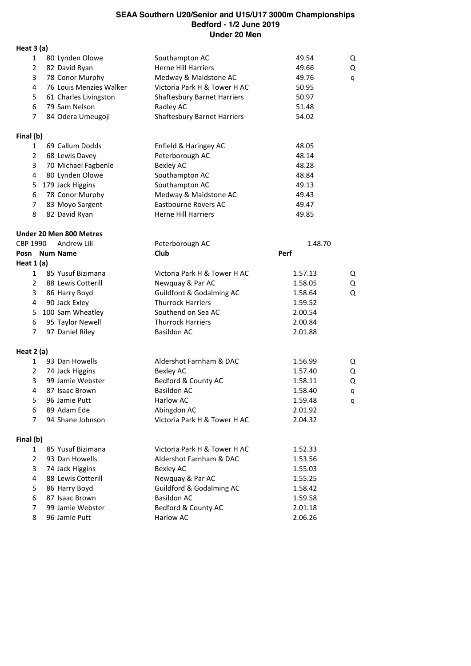**Heat 3 (a)**

| Heat 3 (a)     |                                |                                    |         |   |
|----------------|--------------------------------|------------------------------------|---------|---|
| 1              | 80 Lynden Olowe                | Southampton AC                     | 49.54   | Q |
| $\overline{2}$ | 82 David Ryan                  | <b>Herne Hill Harriers</b>         | 49.66   | Q |
| 3              | 78 Conor Murphy                | Medway & Maidstone AC              | 49.76   | q |
| 4              | 76 Louis Menzies Walker        | Victoria Park H & Tower H AC       | 50.95   |   |
| 5              | 61 Charles Livingston          | <b>Shaftesbury Barnet Harriers</b> | 50.97   |   |
| 6              | 79 Sam Nelson                  | Radley AC                          | 51.48   |   |
| $\overline{7}$ | 84 Odera Umeugoji              | <b>Shaftesbury Barnet Harriers</b> | 54.02   |   |
| Final (b)      |                                |                                    |         |   |
| 1              | 69 Callum Dodds                | Enfield & Haringey AC              | 48.05   |   |
| $\overline{2}$ | 68 Lewis Davey                 | Peterborough AC                    | 48.14   |   |
| 3              | 70 Michael Fagbenle            | <b>Bexley AC</b>                   | 48.28   |   |
| 4              | 80 Lynden Olowe                | Southampton AC                     | 48.84   |   |
| 5              | 179 Jack Higgins               | Southampton AC                     | 49.13   |   |
| 6              | 78 Conor Murphy                | Medway & Maidstone AC              | 49.43   |   |
| $\overline{7}$ | 83 Moyo Sargent                | <b>Eastbourne Rovers AC</b>        | 49.47   |   |
| 8              | 82 David Ryan                  | <b>Herne Hill Harriers</b>         | 49.85   |   |
|                | <b>Under 20 Men 800 Metres</b> |                                    |         |   |
| CBP 1990       | Andrew Lill                    | Peterborough AC                    | 1.48.70 |   |
|                | Posn Num Name                  | <b>Club</b>                        | Perf    |   |
| Heat $1(a)$    |                                |                                    |         |   |
| 1              | 85 Yusuf Bizimana              | Victoria Park H & Tower H AC       | 1.57.13 | Q |
| $\overline{2}$ | 88 Lewis Cotterill             | Newquay & Par AC                   | 1.58.05 | Q |
| 3              | 86 Harry Boyd                  | Guildford & Godalming AC           | 1.58.64 | Q |
| 4              | 90 Jack Exley                  | <b>Thurrock Harriers</b>           | 1.59.52 |   |
| 5              | 100 Sam Wheatley               | Southend on Sea AC                 | 2.00.54 |   |
| 6              | 95 Taylor Newell               | <b>Thurrock Harriers</b>           | 2.00.84 |   |
| $\overline{7}$ | 97 Daniel Riley                | <b>Basildon AC</b>                 | 2.01.88 |   |
| Heat $2(a)$    |                                |                                    |         |   |
| $\mathbf{1}$   | 93 Dan Howells                 | Aldershot Farnham & DAC            | 1.56.99 | Q |
| $\overline{2}$ | 74 Jack Higgins                | <b>Bexley AC</b>                   | 1.57.40 | Q |
| 3              | 99 Jamie Webster               | Bedford & County AC                | 1.58.11 | Q |
| 4              | 87 Isaac Brown                 | <b>Basildon AC</b>                 | 1.58.40 | q |
| 5              | 96 Jamie Putt                  | Harlow AC                          | 1.59.48 | q |
| 6              | 89 Adam Ede                    | Abingdon AC                        | 2.01.92 |   |
| 7              | 94 Shane Johnson               | Victoria Park H & Tower H AC       | 2.04.32 |   |
| Final (b)      |                                |                                    |         |   |
| $\mathbf{1}$   | 85 Yusuf Bizimana              | Victoria Park H & Tower H AC       | 1.52.33 |   |
| $\overline{2}$ | 93 Dan Howells                 | Aldershot Farnham & DAC            | 1.53.56 |   |
| 3              | 74 Jack Higgins                | <b>Bexley AC</b>                   | 1.55.03 |   |
| 4              | 88 Lewis Cotterill             | Newquay & Par AC                   | 1.55.25 |   |
| 5              | 86 Harry Boyd                  | Guildford & Godalming AC           | 1.58.42 |   |
| 6              | 87 Isaac Brown                 | <b>Basildon AC</b>                 | 1.59.58 |   |
| 7              | 99 Jamie Webster               | Bedford & County AC                | 2.01.18 |   |
| 8              | 96 Jamie Putt                  | Harlow AC                          | 2.06.26 |   |
|                |                                |                                    |         |   |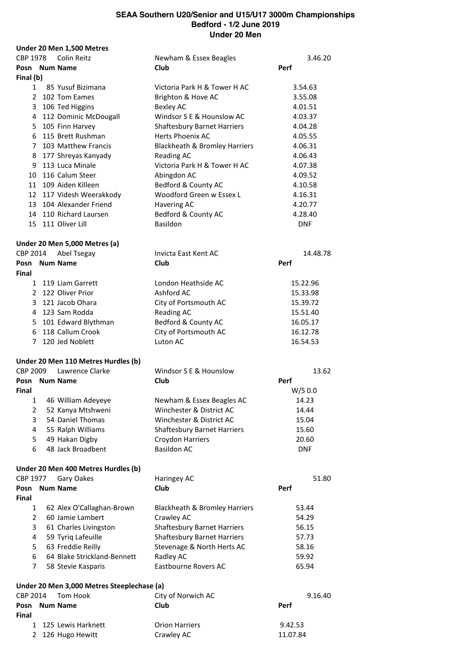|                 | Under 20 Men 1,500 Metres                  |                                    |            |
|-----------------|--------------------------------------------|------------------------------------|------------|
| <b>CBP 1978</b> | Colin Reitz                                | Newham & Essex Beagles             | 3.46.20    |
|                 | Posn Num Name                              | Club                               | Perf       |
| Final (b)       |                                            |                                    |            |
| $\mathbf{1}$    | 85 Yusuf Bizimana                          | Victoria Park H & Tower H AC       | 3.54.63    |
|                 | 2 102 Tom Eames                            | Brighton & Hove AC                 | 3.55.08    |
|                 | 3 106 Ted Higgins                          | <b>Bexley AC</b>                   | 4.01.51    |
|                 | 4 112 Dominic McDougall                    | Windsor S E & Hounslow AC          | 4.03.37    |
|                 | 5 105 Finn Harvey                          | <b>Shaftesbury Barnet Harriers</b> | 4.04.28    |
|                 | 6 115 Brett Rushman                        | <b>Herts Phoenix AC</b>            | 4.05.55    |
|                 | 7 103 Matthew Francis                      | Blackheath & Bromley Harriers      | 4.06.31    |
|                 |                                            |                                    | 4.06.43    |
|                 | 8 177 Shreyas Kanyady                      | Reading AC                         |            |
|                 | 9 113 Luca Minale                          | Victoria Park H & Tower H AC       | 4.07.38    |
|                 | 10 116 Calum Steer                         | Abingdon AC                        | 4.09.52    |
|                 | 11 109 Aiden Killeen                       | Bedford & County AC                | 4.10.58    |
|                 | 12 117 Videsh Weerakkody                   | Woodford Green w Essex L           | 4.16.31    |
|                 | 13 104 Alexander Friend                    | Havering AC                        | 4.20.77    |
|                 | 14 110 Richard Laursen                     | Bedford & County AC                | 4.28.40    |
|                 | 15 111 Oliver Lill                         | Basildon                           | <b>DNF</b> |
|                 | Under 20 Men 5,000 Metres (a)              |                                    |            |
| CBP 2014        | Abel Tsegay                                | Invicta East Kent AC               | 14.48.78   |
|                 | Posn Num Name                              | Club                               | Perf       |
| Final           |                                            |                                    |            |
|                 | 1 119 Liam Garrett                         | London Heathside AC                | 15.22.96   |
|                 | 2 122 Oliver Prior                         | Ashford AC                         | 15.33.98   |
|                 | 3 121 Jacob Ohara                          | City of Portsmouth AC              | 15.39.72   |
|                 | 4 123 Sam Rodda                            | <b>Reading AC</b>                  | 15.51.40   |
|                 | 5 101 Edward Blythman                      | Bedford & County AC                | 16.05.17   |
|                 | 6 118 Callum Crook                         | City of Portsmouth AC              | 16.12.78   |
|                 | 7 120 Jed Noblett                          | Luton AC                           | 16.54.53   |
|                 | Under 20 Men 110 Metres Hurdles (b)        |                                    |            |
| CBP 2009        | Lawrence Clarke                            | Windsor S E & Hounslow             | 13.62      |
|                 | Posn Num Name                              | Club                               | Perf       |
| Final           |                                            |                                    | W/S 0.0    |
| $\mathbf{1}$    | 46 William Adeyeye                         | Newham & Essex Beagles AC          | 14.23      |
|                 |                                            |                                    |            |
| 2               | 52 Kanya Mtshweni                          | Winchester & District AC           | 14.44      |
| 3               | 54 Daniel Thomas                           | Winchester & District AC           | 15.04      |
| 4               | 55 Ralph Williams                          | <b>Shaftesbury Barnet Harriers</b> | 15.60      |
| 5               | 49 Hakan Digby                             | Croydon Harriers                   | 20.60      |
| 6               | 48 Jack Broadbent                          | <b>Basildon AC</b>                 | <b>DNF</b> |
|                 | Under 20 Men 400 Metres Hurdles (b)        |                                    |            |
| CBP 1977        | Gary Oakes                                 | Haringey AC                        | 51.80      |
| Posn<br>Final   | <b>Num Name</b>                            | Club                               | Perf       |
| $\mathbf{1}$    |                                            |                                    |            |
| $\overline{2}$  | 62 Alex O'Callaghan-Brown                  | Blackheath & Bromley Harriers      | 53.44      |
|                 | 60 Jamie Lambert                           | Crawley AC                         | 54.29      |
| 3               | 61 Charles Livingston                      | <b>Shaftesbury Barnet Harriers</b> | 56.15      |
| 4               | 59 Tyriq Lafeuille                         | <b>Shaftesbury Barnet Harriers</b> | 57.73      |
| 5               | 63 Freddie Reilly                          | Stevenage & North Herts AC         | 58.16      |
| 6               | 64 Blake Strickland-Bennett                | Radley AC                          | 59.92      |
| $\overline{7}$  | 58 Stevie Kasparis                         | <b>Eastbourne Rovers AC</b>        | 65.94      |
|                 | Under 20 Men 3,000 Metres Steeplechase (a) |                                    |            |
| CBP 2014        | Tom Hook                                   | City of Norwich AC                 | 9.16.40    |
| Posn<br>Final   | <b>Num Name</b>                            | Club                               | Perf       |
| $\mathbf{1}$    | 125 Lewis Harknett                         | <b>Orion Harriers</b>              | 9.42.53    |
| 2               | 126 Hugo Hewitt                            | Crawley AC                         | 11.07.84   |
|                 |                                            |                                    |            |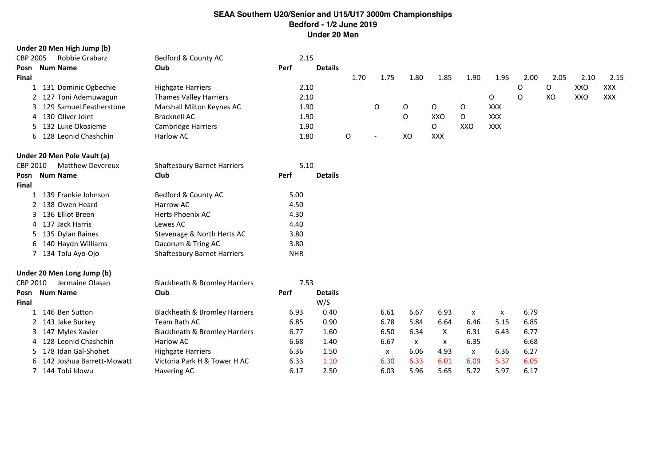|                 | Under 20 Men High Jump (b)  |                                          |            |                |      |                           |      |      |      |            |      |      |      |            |
|-----------------|-----------------------------|------------------------------------------|------------|----------------|------|---------------------------|------|------|------|------------|------|------|------|------------|
| <b>CBP 2005</b> | Robbie Grabarz              | Bedford & County AC                      |            | 2.15           |      |                           |      |      |      |            |      |      |      |            |
| Posn            | <b>Num Name</b>             | Club                                     | Perf       | <b>Details</b> |      |                           |      |      |      |            |      |      |      |            |
| <b>Final</b>    |                             |                                          |            |                | 1.70 | 1.75                      | 1.80 | 1.85 | 1.90 | 1.95       | 2.00 | 2.05 | 2.10 | 2.15       |
| $\mathbf{1}$    | 131 Dominic Ogbechie        | <b>Highgate Harriers</b>                 |            | 2.10           |      |                           |      |      |      |            | O    | 0    | XXO  | <b>XXX</b> |
| 2               | 127 Toni Ademuwagun         | <b>Thames Valley Harriers</b>            |            | 2.10           |      |                           |      |      |      | 0          | O    | XO   | XXO  | <b>XXX</b> |
| 3               | 129 Samuel Featherstone     | Marshall Milton Keynes AC                |            | 1.90           |      | $\mathsf O$               | 0    | 0    | 0    | XXX        |      |      |      |            |
| 4               | 130 Oliver Joint            | <b>Bracknell AC</b>                      |            | 1.90           |      |                           | O    | XXO  | O    | <b>XXX</b> |      |      |      |            |
| 5.              | 132 Luke Okosieme           | <b>Cambridge Harriers</b>                |            | 1.90           |      |                           |      | 0    | XXO  | <b>XXX</b> |      |      |      |            |
| 6               | 128 Leonid Chashchin        | Harlow AC                                |            | 1.80           | O    | $\overline{\phantom{a}}$  | XO   | XXX  |      |            |      |      |      |            |
|                 | Under 20 Men Pole Vault (a) |                                          |            |                |      |                           |      |      |      |            |      |      |      |            |
| CBP 2010        | <b>Matthew Devereux</b>     | <b>Shaftesbury Barnet Harriers</b>       |            | 5.10           |      |                           |      |      |      |            |      |      |      |            |
| Posn            | <b>Num Name</b>             | Club                                     | Perf       | <b>Details</b> |      |                           |      |      |      |            |      |      |      |            |
| Final           |                             |                                          |            |                |      |                           |      |      |      |            |      |      |      |            |
| 1               | 139 Frankie Johnson         | Bedford & County AC                      | 5.00       |                |      |                           |      |      |      |            |      |      |      |            |
|                 | 138 Owen Heard              | Harrow AC                                | 4.50       |                |      |                           |      |      |      |            |      |      |      |            |
| 3               | 136 Elliot Breen            | Herts Phoenix AC                         | 4.30       |                |      |                           |      |      |      |            |      |      |      |            |
| 4               | 137 Jack Harris             | Lewes AC                                 | 4.40       |                |      |                           |      |      |      |            |      |      |      |            |
| 5               | 135 Dylan Baines            | Stevenage & North Herts AC               | 3.80       |                |      |                           |      |      |      |            |      |      |      |            |
| 6               | 140 Haydn Williams          | Dacorum & Tring AC                       | 3.80       |                |      |                           |      |      |      |            |      |      |      |            |
| 7               | 134 Tolu Ayo-Ojo            | <b>Shaftesbury Barnet Harriers</b>       | <b>NHR</b> |                |      |                           |      |      |      |            |      |      |      |            |
|                 | Under 20 Men Long Jump (b)  |                                          |            |                |      |                           |      |      |      |            |      |      |      |            |
| CBP 2010        | Jermaine Olasan             | <b>Blackheath &amp; Bromley Harriers</b> |            | 7.53           |      |                           |      |      |      |            |      |      |      |            |
| Posn            | <b>Num Name</b>             | Club                                     | Perf       | <b>Details</b> |      |                           |      |      |      |            |      |      |      |            |
| <b>Final</b>    |                             |                                          |            | W/S            |      |                           |      |      |      |            |      |      |      |            |
| 1               | 146 Ben Sutton              | <b>Blackheath &amp; Bromley Harriers</b> | 6.93       | 0.40           |      | 6.61                      | 6.67 | 6.93 | X    | X          | 6.79 |      |      |            |
|                 | 143 Jake Burkey             | Team Bath AC                             | 6.85       | 0.90           |      | 6.78                      | 5.84 | 6.64 | 6.46 | 5.15       | 6.85 |      |      |            |
| 3               | 147 Myles Xavier            | Blackheath & Bromley Harriers            | 6.77       | 1.60           |      | 6.50                      | 6.34 | X    | 6.31 | 6.43       | 6.77 |      |      |            |
|                 | 128 Leonid Chashchin        | Harlow AC                                | 6.68       | 1.40           |      | 6.67                      | x    | x    | 6.35 |            | 6.68 |      |      |            |
| 5.              | 178 Idan Gal-Shohet         | <b>Highgate Harriers</b>                 | 6.36       | 1.50           |      | $\boldsymbol{\mathsf{x}}$ | 6.06 | 4.93 | X    | 6.36       | 6.27 |      |      |            |
|                 | 142 Joshua Barrett-Mowatt   | Victoria Park H & Tower H AC             | 6.33       | 1.10           |      | 6.30                      | 6.33 | 6.01 | 6.09 | 5.37       | 6.05 |      |      |            |
| $7^{\circ}$     | 144 Tobi Idowu              | Havering AC                              | 6.17       | 2.50           |      | 6.03                      | 5.96 | 5.65 | 5.72 | 5.97       | 6.17 |      |      |            |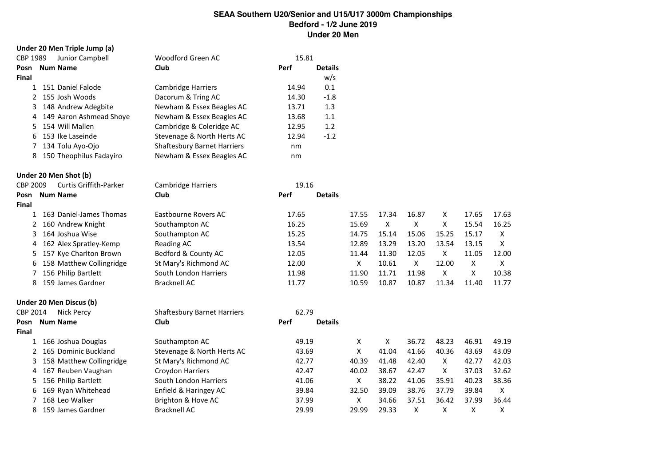| Under 20 Men Triple Jump (a)       |                                    |       |                |              |                |              |       |       |              |
|------------------------------------|------------------------------------|-------|----------------|--------------|----------------|--------------|-------|-------|--------------|
| CBP 1989<br>Junior Campbell        | Woodford Green AC                  | 15.81 |                |              |                |              |       |       |              |
| <b>Num Name</b><br>Posn            | Club                               | Perf  | <b>Details</b> |              |                |              |       |       |              |
| Final                              |                                    |       | w/s            |              |                |              |       |       |              |
| 1 151 Daniel Falode                | Cambridge Harriers                 | 14.94 | 0.1            |              |                |              |       |       |              |
| 2 155 Josh Woods                   | Dacorum & Tring AC                 | 14.30 | $-1.8$         |              |                |              |       |       |              |
| 148 Andrew Adegbite<br>3           | Newham & Essex Beagles AC          | 13.71 | 1.3            |              |                |              |       |       |              |
| 149 Aaron Ashmead Shoye<br>4       | Newham & Essex Beagles AC          | 13.68 | $1.1\,$        |              |                |              |       |       |              |
| 154 Will Mallen<br>5               | Cambridge & Coleridge AC           | 12.95 | 1.2            |              |                |              |       |       |              |
| 153 Ike Laseinde<br>6              | Stevenage & North Herts AC         | 12.94 | $-1.2$         |              |                |              |       |       |              |
| 134 Tolu Ayo-Ojo<br>7              | <b>Shaftesbury Barnet Harriers</b> | nm    |                |              |                |              |       |       |              |
| 150 Theophilus Fadayiro<br>8       | Newham & Essex Beagles AC          | nm    |                |              |                |              |       |       |              |
| Under 20 Men Shot (b)              |                                    |       |                |              |                |              |       |       |              |
| CBP 2009<br>Curtis Griffith-Parker | <b>Cambridge Harriers</b>          | 19.16 |                |              |                |              |       |       |              |
| <b>Num Name</b><br>Posn            | Club                               | Perf  | <b>Details</b> |              |                |              |       |       |              |
| <b>Final</b>                       |                                    |       |                |              |                |              |       |       |              |
| 163 Daniel-James Thomas<br>1       | Eastbourne Rovers AC               | 17.65 |                | 17.55        | 17.34          | 16.87        | X     | 17.65 | 17.63        |
| 160 Andrew Knight<br>2             | Southampton AC                     | 16.25 |                | 15.69        | $\pmb{\times}$ | $\mathsf{X}$ | X     | 15.54 | 16.25        |
| 164 Joshua Wise<br>3               | Southampton AC                     | 15.25 |                | 14.75        | 15.14          | 15.06        | 15.25 | 15.17 | $\mathsf{X}$ |
| 162 Alex Spratley-Kemp<br>4        | <b>Reading AC</b>                  | 13.54 |                | 12.89        | 13.29          | 13.20        | 13.54 | 13.15 | Χ            |
| 157 Kye Charlton Brown<br>5        | Bedford & County AC                | 12.05 |                | 11.44        | 11.30          | 12.05        | X     | 11.05 | 12.00        |
| 158 Matthew Collingridge<br>6      | St Mary's Richmond AC              | 12.00 |                | X            | 10.61          | $\mathsf{X}$ | 12.00 | X     | X            |
| 156 Philip Bartlett<br>7           | South London Harriers              | 11.98 |                | 11.90        | 11.71          | 11.98        | X     | X     | 10.38        |
| 159 James Gardner<br>8             | <b>Bracknell AC</b>                | 11.77 |                | 10.59        | 10.87          | 10.87        | 11.34 | 11.40 | 11.77        |
| Under 20 Men Discus (b)            |                                    |       |                |              |                |              |       |       |              |
| CBP 2014<br><b>Nick Percy</b>      | <b>Shaftesbury Barnet Harriers</b> | 62.79 |                |              |                |              |       |       |              |
| <b>Num Name</b><br>Posn            | Club                               | Perf  | <b>Details</b> |              |                |              |       |       |              |
| Final                              |                                    |       |                |              |                |              |       |       |              |
| 1 166 Joshua Douglas               | Southampton AC                     | 49.19 |                | X            | X              | 36.72        | 48.23 | 46.91 | 49.19        |
| 2 165 Dominic Buckland             | Stevenage & North Herts AC         | 43.69 |                | $\mathsf{X}$ | 41.04          | 41.66        | 40.36 | 43.69 | 43.09        |
| 158 Matthew Collingridge<br>3      | St Mary's Richmond AC              | 42.77 |                | 40.39        | 41.48          | 42.40        | X     | 42.77 | 42.03        |
| 167 Reuben Vaughan<br>4            | Croydon Harriers                   | 42.47 |                | 40.02        | 38.67          | 42.47        | X     | 37.03 | 32.62        |
| 156 Philip Bartlett<br>5           | South London Harriers              | 41.06 |                | $\mathsf{X}$ | 38.22          | 41.06        | 35.91 | 40.23 | 38.36        |
| 169 Ryan Whitehead<br>6            | Enfield & Haringey AC              | 39.84 |                | 32.50        | 39.09          | 38.76        | 37.79 | 39.84 | X            |
| 168 Leo Walker<br>7                | Brighton & Hove AC                 | 37.99 |                | X            | 34.66          | 37.51        | 36.42 | 37.99 | 36.44        |
| 8<br>159 James Gardner             | <b>Bracknell AC</b>                | 29.99 |                | 29.99        | 29.33          | Χ            | Χ     | Χ     | Χ            |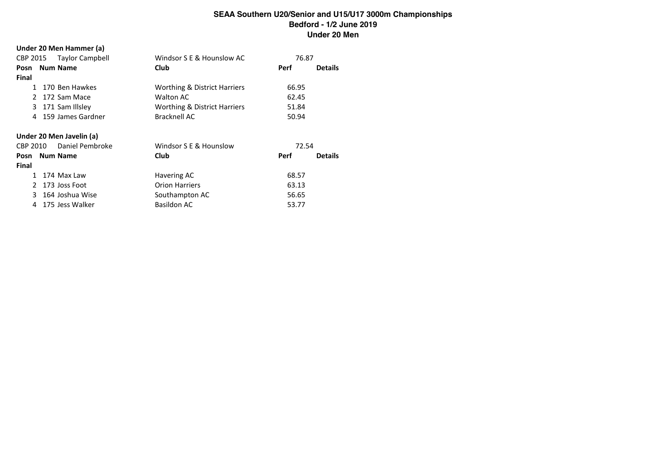|  | Under 20 Men Hammer (a) |  |
|--|-------------------------|--|
|--|-------------------------|--|

|               |  | CBP 2015 Taylor Campbell | Windsor S E & Hounslow AC    | 76.87 |                |  |  |  |
|---------------|--|--------------------------|------------------------------|-------|----------------|--|--|--|
|               |  | Posn Num Name            | <b>Club</b>                  | Perf  | <b>Details</b> |  |  |  |
| <b>Final</b>  |  |                          |                              |       |                |  |  |  |
| 1             |  | 170 Ben Hawkes           | Worthing & District Harriers | 66.95 |                |  |  |  |
| $\mathcal{P}$ |  | 172 Sam Mace             | <b>Walton AC</b>             | 62.45 |                |  |  |  |
| 3             |  | 171 Sam Illsley          | Worthing & District Harriers | 51.84 |                |  |  |  |
| 4             |  | 159 James Gardner        | Bracknell AC                 | 50.94 |                |  |  |  |
|               |  | Under 20 Men Javelin (a) |                              |       |                |  |  |  |
| CBP 2010      |  | Daniel Pembroke          | Windsor S E & Hounslow       | 72.54 |                |  |  |  |
|               |  | Posn Num Name            | <b>Club</b>                  | Perf  | <b>Details</b> |  |  |  |
| Final         |  |                          |                              |       |                |  |  |  |
| 1             |  | 174 Max Law              | Havering AC                  | 68.57 |                |  |  |  |
| $\mathcal{P}$ |  | 173 Joss Foot            | <b>Orion Harriers</b>        | 63.13 |                |  |  |  |
| 3.            |  | 164 Joshua Wise          | Southampton AC               | 56.65 |                |  |  |  |
| 4             |  | 175 Jess Walker          | <b>Basildon AC</b>           | 53.77 |                |  |  |  |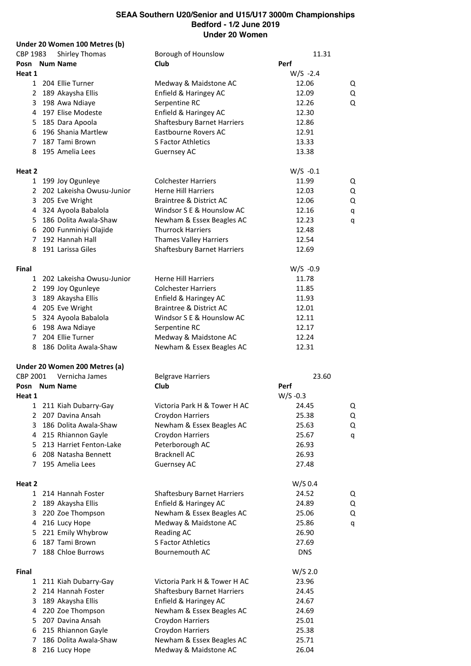|          |              | Under 20 Women 100 Metres (b) |                                    |            |       |   |
|----------|--------------|-------------------------------|------------------------------------|------------|-------|---|
| CBP 1983 |              | Shirley Thomas                | Borough of Hounslow                |            | 11.31 |   |
|          |              | Posn Num Name                 | Club                               | Perf       |       |   |
| Heat 1   |              |                               |                                    | $W/S -2.4$ |       |   |
|          |              | 1 204 Ellie Turner            | Medway & Maidstone AC              | 12.06      |       | Q |
|          |              | 2 189 Akaysha Ellis           | Enfield & Haringey AC              | 12.09      |       | Q |
|          | 3            | 198 Awa Ndiaye                | Serpentine RC                      | 12.26      |       | Q |
|          |              | 4 197 Elise Modeste           | Enfield & Haringey AC              | 12.30      |       |   |
|          |              | 5 185 Dara Apoola             | <b>Shaftesbury Barnet Harriers</b> | 12.86      |       |   |
|          | 6            | 196 Shania Martlew            | Eastbourne Rovers AC               | 12.91      |       |   |
|          | $7^{\circ}$  | 187 Tami Brown                | <b>S Factor Athletics</b>          | 13.33      |       |   |
|          |              | 8 195 Amelia Lees             | Guernsey AC                        | 13.38      |       |   |
|          |              |                               |                                    |            |       |   |
| Heat 2   |              |                               |                                    | $W/S -0.1$ |       |   |
|          | $\mathbf{1}$ | 199 Joy Ogunleye              | <b>Colchester Harriers</b>         | 11.99      |       | Q |
|          |              | 2 202 Lakeisha Owusu-Junior   | <b>Herne Hill Harriers</b>         | 12.03      |       | Q |
|          | 3            | 205 Eve Wright                | <b>Braintree &amp; District AC</b> | 12.06      |       | Q |
|          | 4            | 324 Ayoola Babalola           | Windsor S E & Hounslow AC          | 12.16      |       | q |
|          | 5            | 186 Dolita Awala-Shaw         | Newham & Essex Beagles AC          | 12.23      |       | q |
|          |              | 6 200 Funminiyi Olajide       | <b>Thurrock Harriers</b>           | 12.48      |       |   |
|          |              | 7 192 Hannah Hall             | <b>Thames Valley Harriers</b>      | 12.54      |       |   |
|          |              |                               |                                    | 12.69      |       |   |
|          | 8            | 191 Larissa Giles             | <b>Shaftesbury Barnet Harriers</b> |            |       |   |
| Final    |              |                               |                                    | $W/S -0.9$ |       |   |
|          |              | 1 202 Lakeisha Owusu-Junior   | <b>Herne Hill Harriers</b>         | 11.78      |       |   |
|          |              | 2 199 Joy Ogunleye            | <b>Colchester Harriers</b>         | 11.85      |       |   |
|          | 3            | 189 Akaysha Ellis             | Enfield & Haringey AC              | 11.93      |       |   |
|          | 4            | 205 Eve Wright                | <b>Braintree &amp; District AC</b> | 12.01      |       |   |
|          | 5            | 324 Ayoola Babalola           | Windsor S E & Hounslow AC          | 12.11      |       |   |
|          | 6            | 198 Awa Ndiaye                | Serpentine RC                      | 12.17      |       |   |
|          | $7^{\circ}$  | 204 Ellie Turner              | Medway & Maidstone AC              | 12.24      |       |   |
|          | 8            | 186 Dolita Awala-Shaw         | Newham & Essex Beagles AC          | 12.31      |       |   |
|          |              |                               |                                    |            |       |   |
|          |              | Under 20 Women 200 Metres (a) |                                    |            |       |   |
| CBP 2001 |              | Vernicha James                | <b>Belgrave Harriers</b>           |            | 23.60 |   |
|          |              | Posn Num Name                 | Club                               | Perf       |       |   |
| Heat 1   |              |                               |                                    | $W/S -0.3$ |       |   |
|          |              | 1 211 Kiah Dubarry-Gay        | Victoria Park H & Tower H AC       | 24.45      |       | Q |
|          |              | 2 207 Davina Ansah            | Croydon Harriers                   | 25.38      |       | Q |
|          | 3            | 186 Dolita Awala-Shaw         | Newham & Essex Beagles AC          | 25.63      |       | Q |
|          | 4            | 215 Rhiannon Gayle            | Croydon Harriers                   | 25.67      |       | q |
|          | 5.           | 213 Harriet Fenton-Lake       | Peterborough AC                    | 26.93      |       |   |
|          | 6            | 208 Natasha Bennett           | <b>Bracknell AC</b>                | 26.93      |       |   |
|          | 7            | 195 Amelia Lees               | <b>Guernsey AC</b>                 | 27.48      |       |   |
|          |              |                               |                                    |            |       |   |
| Heat 2   |              |                               |                                    | W/S 0.4    |       |   |
|          |              | 1 214 Hannah Foster           | <b>Shaftesbury Barnet Harriers</b> | 24.52      |       | Q |
|          | 2            | 189 Akaysha Ellis             | Enfield & Haringey AC              | 24.89      |       | Q |
|          | 3            | 220 Zoe Thompson              | Newham & Essex Beagles AC          | 25.06      |       | Q |
|          | 4            | 216 Lucy Hope                 | Medway & Maidstone AC              | 25.86      |       | q |
|          | 5            | 221 Emily Whybrow             | Reading AC                         | 26.90      |       |   |
|          | 6            | 187 Tami Brown                | S Factor Athletics                 | 27.69      |       |   |
|          | 7            | 188 Chloe Burrows             | Bournemouth AC                     | <b>DNS</b> |       |   |
|          |              |                               |                                    |            |       |   |
| Final    |              |                               |                                    | $W/S$ 2.0  |       |   |
|          |              | 1 211 Kiah Dubarry-Gay        | Victoria Park H & Tower H AC       | 23.96      |       |   |
|          |              | 2 214 Hannah Foster           | <b>Shaftesbury Barnet Harriers</b> | 24.45      |       |   |
|          | 3            | 189 Akaysha Ellis             | Enfield & Haringey AC              | 24.67      |       |   |
|          |              | 4 220 Zoe Thompson            | Newham & Essex Beagles AC          | 24.69      |       |   |
|          | 5            | 207 Davina Ansah              | Croydon Harriers                   | 25.01      |       |   |
|          | 6            | 215 Rhiannon Gayle            | Croydon Harriers                   | 25.38      |       |   |
|          | 7            | 186 Dolita Awala-Shaw         | Newham & Essex Beagles AC          | 25.71      |       |   |
|          | 8            | 216 Lucy Hope                 | Medway & Maidstone AC              | 26.04      |       |   |
|          |              |                               |                                    |            |       |   |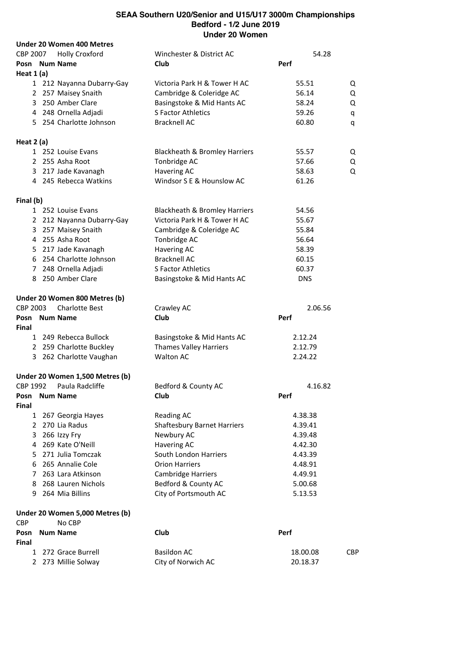|               | <b>Under 20 Women 400 Metres</b> |                                    |            |            |
|---------------|----------------------------------|------------------------------------|------------|------------|
| CBP 2007      | <b>Holly Croxford</b>            | Winchester & District AC           | 54.28      |            |
|               | Posn Num Name                    | Club                               | Perf       |            |
| Heat $1(a)$   |                                  |                                    |            |            |
|               | 1 212 Nayanna Dubarry-Gay        | Victoria Park H & Tower H AC       | 55.51      | Q          |
|               | 2 257 Maisey Snaith              | Cambridge & Coleridge AC           | 56.14      | Q          |
|               | 3 250 Amber Clare                | Basingstoke & Mid Hants AC         | 58.24      | Q          |
|               | 4 248 Ornella Adjadi             | S Factor Athletics                 | 59.26      | q          |
|               | 5 254 Charlotte Johnson          | <b>Bracknell AC</b>                | 60.80      | q          |
| Heat 2 (a)    |                                  |                                    |            |            |
|               | 1 252 Louise Evans               | Blackheath & Bromley Harriers      | 55.57      | Q          |
|               | 2 255 Asha Root                  | Tonbridge AC                       | 57.66      | Q          |
|               | 3 217 Jade Kavanagh              | Havering AC                        | 58.63      | Q          |
|               | 4 245 Rebecca Watkins            | Windsor S E & Hounslow AC          | 61.26      |            |
| Final (b)     |                                  |                                    |            |            |
|               | 1 252 Louise Evans               | Blackheath & Bromley Harriers      | 54.56      |            |
|               | 2 212 Nayanna Dubarry-Gay        | Victoria Park H & Tower H AC       | 55.67      |            |
|               | 3 257 Maisey Snaith              | Cambridge & Coleridge AC           | 55.84      |            |
|               | 4 255 Asha Root                  | Tonbridge AC                       | 56.64      |            |
|               | 5 217 Jade Kavanagh              | <b>Havering AC</b>                 | 58.39      |            |
|               | 6 254 Charlotte Johnson          | <b>Bracknell AC</b>                | 60.15      |            |
|               | 7 248 Ornella Adjadi             | S Factor Athletics                 | 60.37      |            |
|               | 8 250 Amber Clare                | Basingstoke & Mid Hants AC         | <b>DNS</b> |            |
|               | Under 20 Women 800 Metres (b)    |                                    |            |            |
| CBP 2003      | <b>Charlotte Best</b>            | Crawley AC                         | 2.06.56    |            |
| Final         | Posn Num Name                    | Club                               | Perf       |            |
|               | 1 249 Rebecca Bullock            | Basingstoke & Mid Hants AC         | 2.12.24    |            |
|               | 2 259 Charlotte Buckley          | <b>Thames Valley Harriers</b>      | 2.12.79    |            |
|               | 3 262 Charlotte Vaughan          | <b>Walton AC</b>                   | 2.24.22    |            |
|               | Under 20 Women 1,500 Metres (b)  |                                    |            |            |
| CBP 1992      | Paula Radcliffe                  | Bedford & County AC                | 4.16.82    |            |
|               | Posn Num Name                    | Club                               | Perf       |            |
| Final         |                                  |                                    |            |            |
|               | 1 267 Georgia Hayes              | <b>Reading AC</b>                  | 4.38.38    |            |
|               | 2 270 Lia Radus                  | <b>Shaftesbury Barnet Harriers</b> | 4.39.41    |            |
| 3             | 266 Izzy Fry                     | Newbury AC                         | 4.39.48    |            |
|               | 4 269 Kate O'Neill               | <b>Havering AC</b>                 | 4.42.30    |            |
|               | 5 271 Julia Tomczak              | South London Harriers              | 4.43.39    |            |
|               | 6 265 Annalie Cole               | <b>Orion Harriers</b>              | 4.48.91    |            |
| $7^{\circ}$   | 263 Lara Atkinson                | Cambridge Harriers                 | 4.49.91    |            |
|               | 8 268 Lauren Nichols             | Bedford & County AC                | 5.00.68    |            |
| 9             | 264 Mia Billins                  | City of Portsmouth AC              | 5.13.53    |            |
|               | Under 20 Women 5,000 Metres (b)  |                                    |            |            |
| <b>CBP</b>    | No CBP                           |                                    |            |            |
| Posn<br>Final | <b>Num Name</b>                  | Club                               | Perf       |            |
|               | 1 272 Grace Burrell              | <b>Basildon AC</b>                 | 18.00.08   | <b>CBP</b> |
|               | 2 273 Millie Solway              | City of Norwich AC                 | 20.18.37   |            |
|               |                                  |                                    |            |            |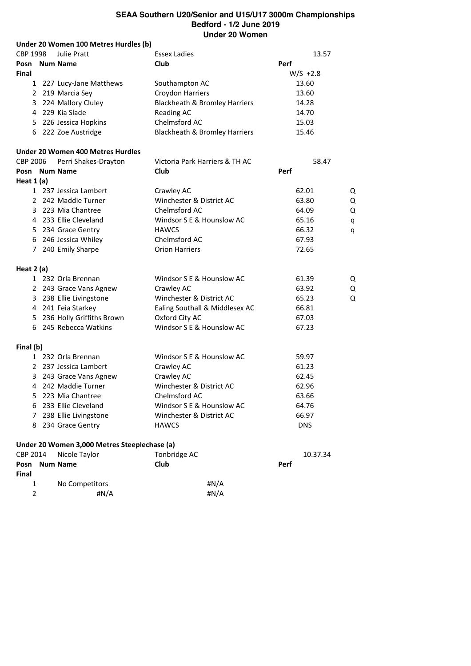|                 | Under 20 Women 100 Metres Hurdles (b)        |                                          |            |   |
|-----------------|----------------------------------------------|------------------------------------------|------------|---|
| CBP 1998        | <b>Julie Pratt</b>                           | <b>Essex Ladies</b>                      | 13.57      |   |
|                 | Posn Num Name                                | Club                                     | Perf       |   |
| Final           |                                              |                                          | $W/S +2.8$ |   |
|                 | 1 227 Lucy-Jane Matthews                     | Southampton AC                           | 13.60      |   |
|                 | 2 219 Marcia Sey                             | Croydon Harriers                         | 13.60      |   |
|                 | 3 224 Mallory Cluley                         | Blackheath & Bromley Harriers            | 14.28      |   |
|                 | 4 229 Kia Slade                              | <b>Reading AC</b>                        | 14.70      |   |
|                 | 5 226 Jessica Hopkins                        | Chelmsford AC                            | 15.03      |   |
|                 | 6 222 Zoe Austridge                          | <b>Blackheath &amp; Bromley Harriers</b> | 15.46      |   |
|                 | Under 20 Women 400 Metres Hurdles            |                                          |            |   |
| <b>CBP 2006</b> | Perri Shakes-Drayton                         | Victoria Park Harriers & TH AC           | 58.47      |   |
|                 | Posn Num Name                                | Club                                     | Perf       |   |
| Heat $1(a)$     |                                              |                                          |            |   |
|                 | 1 237 Jessica Lambert                        | Crawley AC                               | 62.01      | Q |
|                 | 2 242 Maddie Turner                          | Winchester & District AC                 | 63.80      | Q |
|                 | 3 223 Mia Chantree                           | Chelmsford AC                            | 64.09      | Q |
|                 | 4 233 Ellie Cleveland                        | Windsor S E & Hounslow AC                | 65.16      | q |
|                 | 5 234 Grace Gentry                           | <b>HAWCS</b>                             | 66.32      | q |
|                 | 6 246 Jessica Whiley                         | Chelmsford AC                            | 67.93      |   |
|                 | 7 240 Emily Sharpe                           | <b>Orion Harriers</b>                    | 72.65      |   |
| Heat $2(a)$     |                                              |                                          |            |   |
|                 | 1 232 Orla Brennan                           | Windsor S E & Hounslow AC                | 61.39      | Q |
|                 | 2 243 Grace Vans Agnew                       | Crawley AC                               | 63.92      | Q |
|                 | 3 238 Ellie Livingstone                      | Winchester & District AC                 | 65.23      | Q |
|                 | 4 241 Feia Starkey                           | Ealing Southall & Middlesex AC           | 66.81      |   |
|                 | 5 236 Holly Griffiths Brown                  | Oxford City AC                           | 67.03      |   |
|                 | 6 245 Rebecca Watkins                        | Windsor S E & Hounslow AC                | 67.23      |   |
| Final (b)       |                                              |                                          |            |   |
|                 | 1 232 Orla Brennan                           | Windsor S E & Hounslow AC                | 59.97      |   |
|                 | 2 237 Jessica Lambert                        | Crawley AC                               | 61.23      |   |
|                 | 3 243 Grace Vans Agnew                       | Crawley AC                               | 62.45      |   |
|                 | 4 242 Maddie Turner                          | Winchester & District AC                 | 62.96      |   |
|                 | 5 223 Mia Chantree                           | Chelmsford AC                            | 63.66      |   |
|                 | 6 233 Ellie Cleveland                        | Windsor S E & Hounslow AC                | 64.76      |   |
|                 | 7 238 Ellie Livingstone                      | Winchester & District AC                 | 66.97      |   |
|                 | 8 234 Grace Gentry                           | <b>HAWCS</b>                             | <b>DNS</b> |   |
|                 | Under 20 Women 3,000 Metres Steeplechase (a) |                                          |            |   |
| CBP 2014        | Nicole Taylor                                | Tonbridge AC                             | 10.37.34   |   |
|                 | Posn Num Name                                | Club                                     | Perf       |   |
| Final           |                                              |                                          |            |   |
| 1               | No Competitors                               | # $N/A$                                  |            |   |
| 2               | #N/A                                         | # $N/A$                                  |            |   |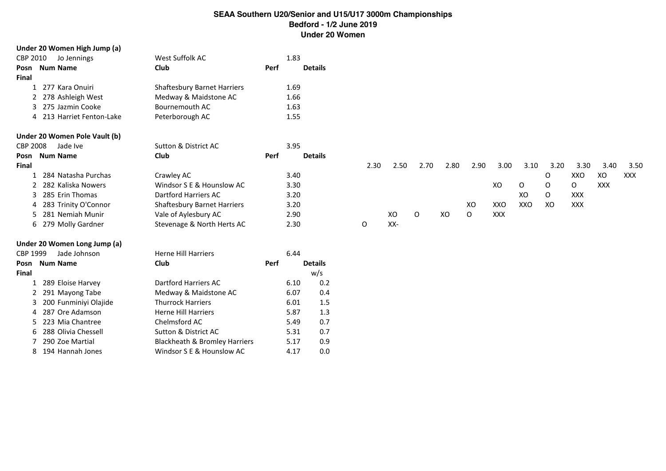|              | Under 20 Women High Jump (a)  |                                          |      |      |                |      |      |             |      |              |            |      |      |            |            |      |
|--------------|-------------------------------|------------------------------------------|------|------|----------------|------|------|-------------|------|--------------|------------|------|------|------------|------------|------|
| CBP 2010     | Jo Jennings                   | West Suffolk AC                          |      | 1.83 |                |      |      |             |      |              |            |      |      |            |            |      |
|              | Posn Num Name                 | <b>Club</b>                              | Perf |      | <b>Details</b> |      |      |             |      |              |            |      |      |            |            |      |
| <b>Final</b> |                               |                                          |      |      |                |      |      |             |      |              |            |      |      |            |            |      |
| 1            | 277 Kara Onuiri               | <b>Shaftesbury Barnet Harriers</b>       |      | 1.69 |                |      |      |             |      |              |            |      |      |            |            |      |
| 2            | 278 Ashleigh West             | Medway & Maidstone AC                    |      | 1.66 |                |      |      |             |      |              |            |      |      |            |            |      |
|              | 275 Jazmin Cooke              | Bournemouth AC                           |      | 1.63 |                |      |      |             |      |              |            |      |      |            |            |      |
|              | 4 213 Harriet Fenton-Lake     | Peterborough AC                          |      | 1.55 |                |      |      |             |      |              |            |      |      |            |            |      |
|              | Under 20 Women Pole Vault (b) |                                          |      |      |                |      |      |             |      |              |            |      |      |            |            |      |
| CBP 2008     | Jade Ive                      | Sutton & District AC                     |      | 3.95 |                |      |      |             |      |              |            |      |      |            |            |      |
|              | Posn Num Name                 | <b>Club</b>                              | Perf |      | <b>Details</b> |      |      |             |      |              |            |      |      |            |            |      |
| Final        |                               |                                          |      |      |                | 2.30 | 2.50 | 2.70        | 2.80 | 2.90         | 3.00       | 3.10 | 3.20 | 3.30       | 3.40       | 3.50 |
|              | 284 Natasha Purchas           | Crawley AC                               |      | 3.40 |                |      |      |             |      |              |            |      | O    | XXO        | XO         | XXX  |
|              | 282 Kaliska Nowers            | Windsor S E & Hounslow AC                |      | 3.30 |                |      |      |             |      |              | XO         | 0    | 0    | 0          | <b>XXX</b> |      |
| 3            | 285 Erin Thomas               | Dartford Harriers AC                     |      | 3.20 |                |      |      |             |      |              |            | XO   | 0    | XXX        |            |      |
| 4            | 283 Trinity O'Connor          | <b>Shaftesbury Barnet Harriers</b>       |      | 3.20 |                |      |      |             |      | XO           | XXO        | XXO  | XO   | <b>XXX</b> |            |      |
|              | 281 Nemiah Munir              | Vale of Aylesbury AC                     |      | 2.90 |                |      | XO   | $\mathsf O$ | XO   | $\mathsf{O}$ | <b>XXX</b> |      |      |            |            |      |
|              | 6 279 Molly Gardner           | Stevenage & North Herts AC               |      | 2.30 |                | 0    | XX-  |             |      |              |            |      |      |            |            |      |
|              | Under 20 Women Long Jump (a)  |                                          |      |      |                |      |      |             |      |              |            |      |      |            |            |      |
| CBP 1999     | Jade Johnson                  | <b>Herne Hill Harriers</b>               |      | 6.44 |                |      |      |             |      |              |            |      |      |            |            |      |
|              | Posn Num Name                 | Club                                     | Perf |      | <b>Details</b> |      |      |             |      |              |            |      |      |            |            |      |
| <b>Final</b> |                               |                                          |      |      | w/s            |      |      |             |      |              |            |      |      |            |            |      |
|              | 289 Eloise Harvey             | Dartford Harriers AC                     |      | 6.10 | 0.2            |      |      |             |      |              |            |      |      |            |            |      |
| 2            | 291 Mayong Tabe               | Medway & Maidstone AC                    |      | 6.07 | 0.4            |      |      |             |      |              |            |      |      |            |            |      |
| 3            | 200 Funminiyi Olajide         | <b>Thurrock Harriers</b>                 |      | 6.01 | 1.5            |      |      |             |      |              |            |      |      |            |            |      |
| 4            | 287 Ore Adamson               | <b>Herne Hill Harriers</b>               |      | 5.87 | 1.3            |      |      |             |      |              |            |      |      |            |            |      |
|              | 223 Mia Chantree              | Chelmsford AC                            |      | 5.49 | 0.7            |      |      |             |      |              |            |      |      |            |            |      |
|              | 288 Olivia Chessell           | Sutton & District AC                     |      | 5.31 | 0.7            |      |      |             |      |              |            |      |      |            |            |      |
|              | 290 Zoe Martial               | <b>Blackheath &amp; Bromley Harriers</b> |      | 5.17 | 0.9            |      |      |             |      |              |            |      |      |            |            |      |
| 8.           | 194 Hannah Jones              | Windsor S E & Hounslow AC                |      | 4.17 | 0.0            |      |      |             |      |              |            |      |      |            |            |      |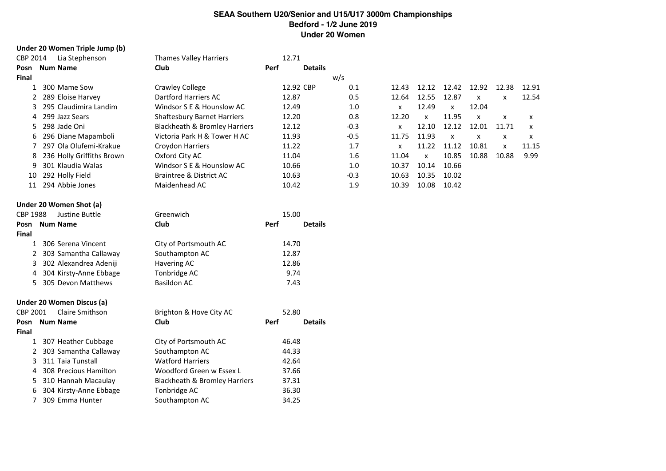#### **Under 20 Women Triple Jump (b)**

| CBP 2014 | Lia Stephenson            | <b>Thames Valley Harriers</b>      |             | 12.71          |        |       |              |       |              |              |       |
|----------|---------------------------|------------------------------------|-------------|----------------|--------|-------|--------------|-------|--------------|--------------|-------|
| Posn     | <b>Num Name</b>           | <b>Club</b>                        | Perf        | <b>Details</b> |        |       |              |       |              |              |       |
| Final    |                           |                                    |             |                | w/s    |       |              |       |              |              |       |
|          | 300 Mame Sow              | Crawley College                    |             | 12.92 CBP      | 0.1    | 12.43 | 12.12        | 12.42 | 12.92        | 12.38        | 12.91 |
|          | 289 Eloise Harvey         | Dartford Harriers AC               |             | 12.87          | 0.5    | 12.64 | 12.55        | 12.87 | X            | x            | 12.54 |
| 3.       | 295 Claudimira Landim     | Windsor S E & Hounslow AC          |             | 12.49          | 1.0    | x     | 12.49        | x     | 12.04        |              |       |
| 4        | 299 Jazz Sears            | <b>Shaftesbury Barnet Harriers</b> |             | 12.20          | 0.8    | 12.20 | $\mathsf{x}$ | 11.95 | $\mathsf{x}$ | x            | x     |
| 5.       | 298 Jade Oni              | Blackheath & Bromley Harriers      |             | 12.12          | $-0.3$ | x     | 12.10        | 12.12 | 12.01        | 11.71        | x     |
| 6        | 296 Diane Mapamboli       | Victoria Park H & Tower H AC       |             | 11.93          | $-0.5$ | 11.75 | 11.93        | x     | X            | x            | x     |
|          | 297 Ola Olufemi-Krakue    | Croydon Harriers                   |             | 11.22          | 1.7    | x     | 11.22        | 11.12 | 10.81        | $\mathsf{x}$ | 11.15 |
| 8        | 236 Holly Griffiths Brown | Oxford City AC                     |             | 11.04          | 1.6    | 11.04 | $\mathsf{x}$ | 10.85 | 10.88        | 10.88        | 9.99  |
| 9        | 301 Klaudia Walas         | Windsor S E & Hounslow AC          |             | 10.66          | 1.0    | 10.37 | 10.14        | 10.66 |              |              |       |
| 10       | 292 Holly Field           | Braintree & District AC            |             | 10.63          | $-0.3$ | 10.63 | 10.35        | 10.02 |              |              |       |
| 11       | 294 Abbie Jones           | Maidenhead AC                      |             | 10.42          | 1.9    | 10.39 | 10.08        | 10.42 |              |              |       |
|          | Under 20 Women Shot (a)   |                                    |             |                |        |       |              |       |              |              |       |
| CBP 1988 | Justine Buttle            | Greenwich                          |             | 15.00          |        |       |              |       |              |              |       |
|          | Docn - Num Namo           | $\mathsf{C}$ is in                 | <b>Dorf</b> | Dotaile        |        |       |              |       |              |              |       |

| City of Portsmouth AC<br>1 306 Serena Vincent<br>14.70 | <b>Details</b> |
|--------------------------------------------------------|----------------|
|                                                        |                |
| 2 303 Samantha Callaway<br>Southampton AC<br>12.87     |                |
| 3 302 Alexandrea Adeniji<br>Havering AC<br>12.86       |                |
| 4 304 Kirsty-Anne Ebbage<br>Tonbridge AC<br>9.74       |                |
| 5 305 Devon Matthews<br>Basildon AC<br>7.43            |                |

### **Under 20 Women Discus (a)**

| CBP 2001     | Claire Smithson          | Brighton & Hove City AC                  | 52.80                  |
|--------------|--------------------------|------------------------------------------|------------------------|
|              | Posn Num Name            | <b>Club</b>                              | <b>Details</b><br>Perf |
| <b>Final</b> |                          |                                          |                        |
|              | 1 307 Heather Cubbage    | City of Portsmouth AC                    | 46.48                  |
|              | 2 303 Samantha Callaway  | Southampton AC                           | 44.33                  |
|              | 3 311 Taia Tunstall      | <b>Watford Harriers</b>                  | 42.64                  |
|              | 4 308 Precious Hamilton  | Woodford Green w Essex L                 | 37.66                  |
|              | 5 310 Hannah Macaulay    | <b>Blackheath &amp; Bromley Harriers</b> | 37.31                  |
|              | 6 304 Kirsty-Anne Ebbage | Tonbridge AC                             | 36.30                  |
|              | 309 Emma Hunter          | Southampton AC                           | 34.25                  |
|              |                          |                                          |                        |